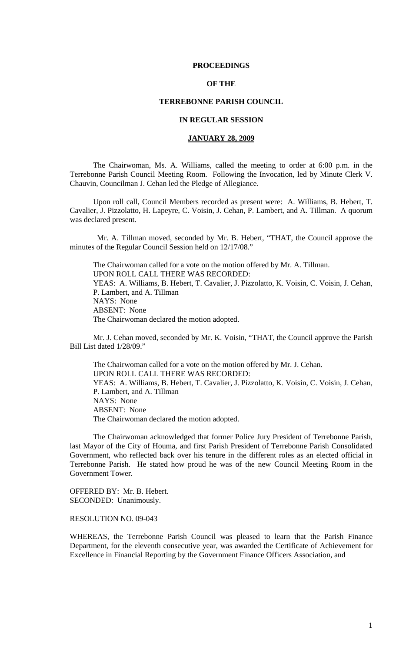### **PROCEEDINGS**

# **OF THE**

## **TERREBONNE PARISH COUNCIL**

### **IN REGULAR SESSION**

### **JANUARY 28, 2009**

 The Chairwoman, Ms. A. Williams, called the meeting to order at 6:00 p.m. in the Terrebonne Parish Council Meeting Room. Following the Invocation, led by Minute Clerk V. Chauvin, Councilman J. Cehan led the Pledge of Allegiance.

Upon roll call, Council Members recorded as present were: A. Williams, B. Hebert, T. Cavalier, J. Pizzolatto, H. Lapeyre, C. Voisin, J. Cehan, P. Lambert, and A. Tillman. A quorum was declared present.

 Mr. A. Tillman moved, seconded by Mr. B. Hebert, "THAT, the Council approve the minutes of the Regular Council Session held on 12/17/08."

The Chairwoman called for a vote on the motion offered by Mr. A. Tillman. UPON ROLL CALL THERE WAS RECORDED: YEAS: A. Williams, B. Hebert, T. Cavalier, J. Pizzolatto, K. Voisin, C. Voisin, J. Cehan, P. Lambert, and A. Tillman NAYS: None ABSENT: None The Chairwoman declared the motion adopted.

Mr. J. Cehan moved, seconded by Mr. K. Voisin, "THAT, the Council approve the Parish Bill List dated 1/28/09."

The Chairwoman called for a vote on the motion offered by Mr. J. Cehan. UPON ROLL CALL THERE WAS RECORDED: YEAS: A. Williams, B. Hebert, T. Cavalier, J. Pizzolatto, K. Voisin, C. Voisin, J. Cehan, P. Lambert, and A. Tillman NAYS: None ABSENT: None The Chairwoman declared the motion adopted.

The Chairwoman acknowledged that former Police Jury President of Terrebonne Parish, last Mayor of the City of Houma, and first Parish President of Terrebonne Parish Consolidated Government, who reflected back over his tenure in the different roles as an elected official in Terrebonne Parish. He stated how proud he was of the new Council Meeting Room in the Government Tower.

OFFERED BY: Mr. B. Hebert. SECONDED: Unanimously.

RESOLUTION NO. 09-043

WHEREAS, the Terrebonne Parish Council was pleased to learn that the Parish Finance Department, for the eleventh consecutive year, was awarded the Certificate of Achievement for Excellence in Financial Reporting by the Government Finance Officers Association, and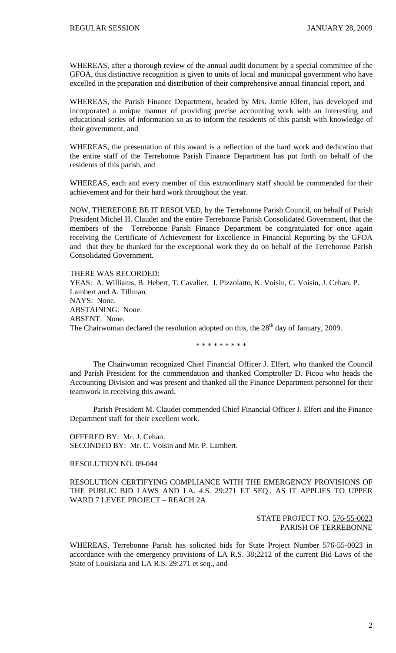WHEREAS, after a thorough review of the annual audit document by a special committee of the GFOA, this distinctive recognition is given to units of local and municipal government who have excelled in the preparation and distribution of their comprehensive annual financial report, and

WHEREAS, the Parish Finance Department, headed by Mrs. Jamie Elfert, has developed and incorporated a unique manner of providing precise accounting work with an interesting and educational series of information so as to inform the residents of this parish with knowledge of their government, and

WHEREAS, the presentation of this award is a reflection of the hard work and dedication that the entire staff of the Terrebonne Parish Finance Department has put forth on behalf of the residents of this parish, and

WHEREAS, each and every member of this extraordinary staff should be commended for their achievement and for their hard work throughout the year.

NOW, THEREFORE BE IT RESOLVED, by the Terrebonne Parish Council, on behalf of Parish President Michel H. Claudet and the entire Terrebonne Parish Consolidated Government, that the members of the Terrebonne Parish Finance Department be congratulated for once again receiving the Certificate of Achievement for Excellence in Financial Reporting by the GFOA and that they be thanked for the exceptional work they do on behalf of the Terrebonne Parish Consolidated Government.

THERE WAS RECORDED: YEAS: A. Williams, B. Hebert, T. Cavalier, J. Pizzolatto, K. Voisin, C. Voisin, J. Cehan, P. Lambert and A. Tillman. NAYS: None. ABSTAINING: None. ABSENT: None. The Chairwoman declared the resolution adopted on this, the  $28<sup>th</sup>$  day of January, 2009.

\* \* \* \* \* \* \* \* \*

The Chairwoman recognized Chief Financial Officer J. Elfert, who thanked the Council and Parish President for the commendation and thanked Comptroller D. Picou who heads the Accounting Division and was present and thanked all the Finance Department personnel for their teamwork in receiving this award.

Parish President M. Claudet commended Chief Financial Officer J. Elfert and the Finance Department staff for their excellent work.

OFFERED BY: Mr. J. Cehan. SECONDED BY: Mr. C. Voisin and Mr. P. Lambert.

#### RESOLUTION NO. 09-044

RESOLUTION CERTIFYING COMPLIANCE WITH THE EMERGENCY PROVISIONS OF THE PUBLIC BID LAWS AND LA. 4.S. 29:271 ET SEQ., AS IT APPLIES TO UPPER WARD 7 LEVEE PROJECT – REACH 2A

# STATE PROJECT NO. 576-55-0023 PARISH OF TERREBONNE

WHEREAS, Terrebonne Parish has solicited bids for State Project Number 576-55-0023 in accordance with the emergency provisions of LA R.S. 38;2212 of the current Bid Laws of the State of Louisiana and LA R.S. 29:271 et seq., and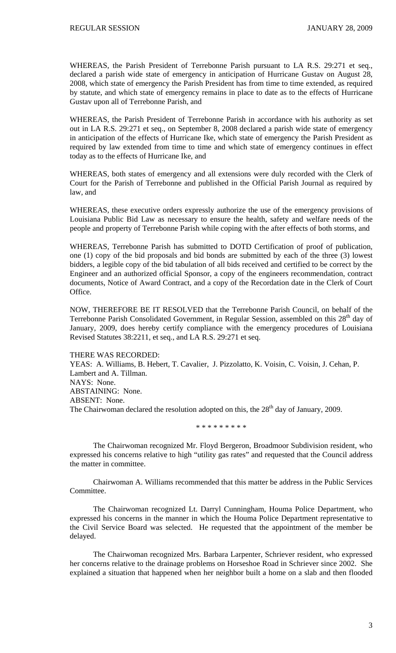WHEREAS, the Parish President of Terrebonne Parish pursuant to LA R.S. 29:271 et seq., declared a parish wide state of emergency in anticipation of Hurricane Gustav on August 28, 2008, which state of emergency the Parish President has from time to time extended, as required by statute, and which state of emergency remains in place to date as to the effects of Hurricane Gustav upon all of Terrebonne Parish, and

WHEREAS, the Parish President of Terrebonne Parish in accordance with his authority as set out in LA R.S. 29:271 et seq., on September 8, 2008 declared a parish wide state of emergency in anticipation of the effects of Hurricane Ike, which state of emergency the Parish President as required by law extended from time to time and which state of emergency continues in effect today as to the effects of Hurricane Ike, and

WHEREAS, both states of emergency and all extensions were duly recorded with the Clerk of Court for the Parish of Terrebonne and published in the Official Parish Journal as required by law, and

WHEREAS, these executive orders expressly authorize the use of the emergency provisions of Louisiana Public Bid Law as necessary to ensure the health, safety and welfare needs of the people and property of Terrebonne Parish while coping with the after effects of both storms, and

WHEREAS, Terrebonne Parish has submitted to DOTD Certification of proof of publication, one (1) copy of the bid proposals and bid bonds are submitted by each of the three (3) lowest bidders, a legible copy of the bid tabulation of all bids received and certified to be correct by the Engineer and an authorized official Sponsor, a copy of the engineers recommendation, contract documents, Notice of Award Contract, and a copy of the Recordation date in the Clerk of Court Office.

NOW, THEREFORE BE IT RESOLVED that the Terrebonne Parish Council, on behalf of the Terrebonne Parish Consolidated Government, in Regular Session, assembled on this 28<sup>th</sup> day of January, 2009, does hereby certify compliance with the emergency procedures of Louisiana Revised Statutes 38:2211, et seq., and LA R.S. 29:271 et seq.

#### THERE WAS RECORDED:

YEAS: A. Williams, B. Hebert, T. Cavalier, J. Pizzolatto, K. Voisin, C. Voisin, J. Cehan, P. Lambert and A. Tillman. NAYS: None. ABSTAINING: None. ABSENT: None. The Chairwoman declared the resolution adopted on this, the 28<sup>th</sup> day of January, 2009.

\* \* \* \* \* \* \* \* \*

 The Chairwoman recognized Mr. Floyd Bergeron, Broadmoor Subdivision resident, who expressed his concerns relative to high "utility gas rates" and requested that the Council address the matter in committee.

 Chairwoman A. Williams recommended that this matter be address in the Public Services Committee.

 The Chairwoman recognized Lt. Darryl Cunningham, Houma Police Department, who expressed his concerns in the manner in which the Houma Police Department representative to the Civil Service Board was selected. He requested that the appointment of the member be delayed.

 The Chairwoman recognized Mrs. Barbara Larpenter, Schriever resident, who expressed her concerns relative to the drainage problems on Horseshoe Road in Schriever since 2002. She explained a situation that happened when her neighbor built a home on a slab and then flooded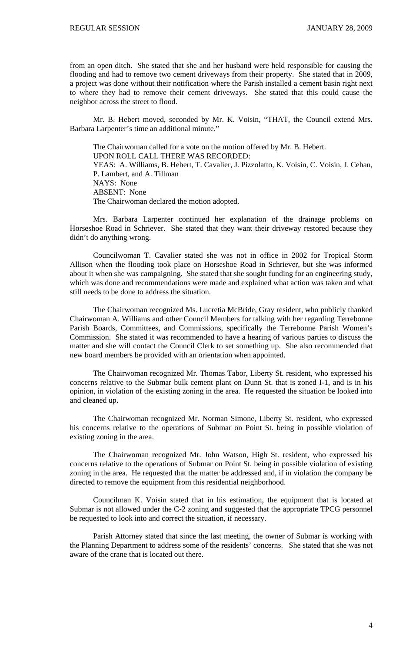from an open ditch. She stated that she and her husband were held responsible for causing the flooding and had to remove two cement driveways from their property. She stated that in 2009, a project was done without their notification where the Parish installed a cement basin right next to where they had to remove their cement driveways. She stated that this could cause the neighbor across the street to flood.

 Mr. B. Hebert moved, seconded by Mr. K. Voisin, "THAT, the Council extend Mrs. Barbara Larpenter's time an additional minute."

 The Chairwoman called for a vote on the motion offered by Mr. B. Hebert. UPON ROLL CALL THERE WAS RECORDED: YEAS: A. Williams, B. Hebert, T. Cavalier, J. Pizzolatto, K. Voisin, C. Voisin, J. Cehan, P. Lambert, and A. Tillman NAYS: None ABSENT: None The Chairwoman declared the motion adopted.

 Mrs. Barbara Larpenter continued her explanation of the drainage problems on Horseshoe Road in Schriever. She stated that they want their driveway restored because they didn't do anything wrong.

 Councilwoman T. Cavalier stated she was not in office in 2002 for Tropical Storm Allison when the flooding took place on Horseshoe Road in Schriever, but she was informed about it when she was campaigning. She stated that she sought funding for an engineering study, which was done and recommendations were made and explained what action was taken and what still needs to be done to address the situation.

 The Chairwoman recognized Ms. Lucretia McBride, Gray resident, who publicly thanked Chairwoman A. Williams and other Council Members for talking with her regarding Terrebonne Parish Boards, Committees, and Commissions, specifically the Terrebonne Parish Women's Commission. She stated it was recommended to have a hearing of various parties to discuss the matter and she will contact the Council Clerk to set something up. She also recommended that new board members be provided with an orientation when appointed.

 The Chairwoman recognized Mr. Thomas Tabor, Liberty St. resident, who expressed his concerns relative to the Submar bulk cement plant on Dunn St. that is zoned I-1, and is in his opinion, in violation of the existing zoning in the area. He requested the situation be looked into and cleaned up.

 The Chairwoman recognized Mr. Norman Simone, Liberty St. resident, who expressed his concerns relative to the operations of Submar on Point St. being in possible violation of existing zoning in the area.

 The Chairwoman recognized Mr. John Watson, High St. resident, who expressed his concerns relative to the operations of Submar on Point St. being in possible violation of existing zoning in the area. He requested that the matter be addressed and, if in violation the company be directed to remove the equipment from this residential neighborhood.

 Councilman K. Voisin stated that in his estimation, the equipment that is located at Submar is not allowed under the C-2 zoning and suggested that the appropriate TPCG personnel be requested to look into and correct the situation, if necessary.

 Parish Attorney stated that since the last meeting, the owner of Submar is working with the Planning Department to address some of the residents' concerns. She stated that she was not aware of the crane that is located out there.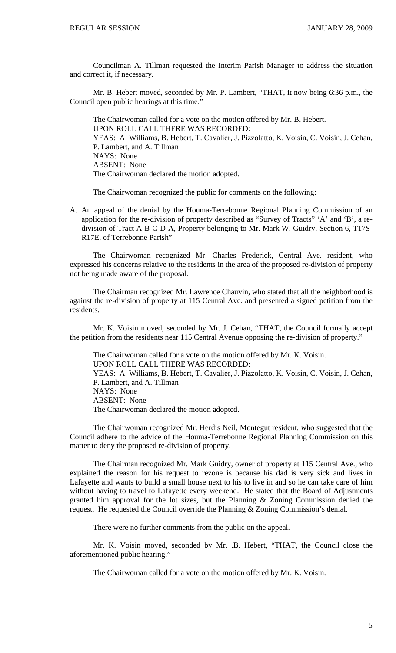Councilman A. Tillman requested the Interim Parish Manager to address the situation and correct it, if necessary.

 Mr. B. Hebert moved, seconded by Mr. P. Lambert, "THAT, it now being 6:36 p.m., the Council open public hearings at this time."

 The Chairwoman called for a vote on the motion offered by Mr. B. Hebert. UPON ROLL CALL THERE WAS RECORDED: YEAS: A. Williams, B. Hebert, T. Cavalier, J. Pizzolatto, K. Voisin, C. Voisin, J. Cehan, P. Lambert, and A. Tillman NAYS: None ABSENT: None The Chairwoman declared the motion adopted.

The Chairwoman recognized the public for comments on the following:

A. An appeal of the denial by the Houma-Terrebonne Regional Planning Commission of an application for the re-division of property described as "Survey of Tracts" 'A' and 'B', a redivision of Tract A-B-C-D-A, Property belonging to Mr. Mark W. Guidry, Section 6, T17S-R17E, of Terrebonne Parish"

 The Chairwoman recognized Mr. Charles Frederick, Central Ave. resident, who expressed his concerns relative to the residents in the area of the proposed re-division of property not being made aware of the proposal.

 The Chairman recognized Mr. Lawrence Chauvin, who stated that all the neighborhood is against the re-division of property at 115 Central Ave. and presented a signed petition from the residents.

 Mr. K. Voisin moved, seconded by Mr. J. Cehan, "THAT, the Council formally accept the petition from the residents near 115 Central Avenue opposing the re-division of property."

 The Chairwoman called for a vote on the motion offered by Mr. K. Voisin. UPON ROLL CALL THERE WAS RECORDED: YEAS: A. Williams, B. Hebert, T. Cavalier, J. Pizzolatto, K. Voisin, C. Voisin, J. Cehan, P. Lambert, and A. Tillman NAYS: None ABSENT: None The Chairwoman declared the motion adopted.

 The Chairwoman recognized Mr. Herdis Neil, Montegut resident, who suggested that the Council adhere to the advice of the Houma-Terrebonne Regional Planning Commission on this matter to deny the proposed re-division of property.

 The Chairman recognized Mr. Mark Guidry, owner of property at 115 Central Ave., who explained the reason for his request to rezone is because his dad is very sick and lives in Lafayette and wants to build a small house next to his to live in and so he can take care of him without having to travel to Lafayette every weekend. He stated that the Board of Adjustments granted him approval for the lot sizes, but the Planning & Zoning Commission denied the request. He requested the Council override the Planning & Zoning Commission's denial.

There were no further comments from the public on the appeal.

 Mr. K. Voisin moved, seconded by Mr. .B. Hebert, "THAT, the Council close the aforementioned public hearing."

The Chairwoman called for a vote on the motion offered by Mr. K. Voisin.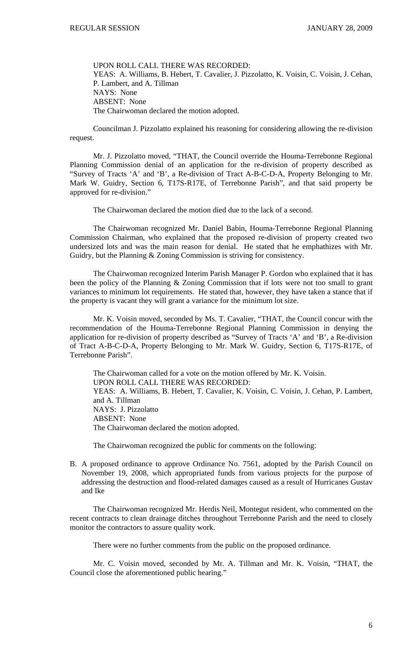UPON ROLL CALL THERE WAS RECORDED: YEAS: A. Williams, B. Hebert, T. Cavalier, J. Pizzolatto, K. Voisin, C. Voisin, J. Cehan, P. Lambert, and A. Tillman NAYS: None ABSENT: None The Chairwoman declared the motion adopted.

 Councilman J. Pizzolatto explained his reasoning for considering allowing the re-division request.

 Mr. J. Pizzolatto moved, "THAT, the Council override the Houma-Terrebonne Regional Planning Commission denial of an application for the re-division of property described as "Survey of Tracts 'A' and 'B', a Re-division of Tract A-B-C-D-A, Property Belonging to Mr. Mark W. Guidry, Section 6, T17S-R17E, of Terrebonne Parish", and that said property be approved for re-division."

The Chairwoman declared the motion died due to the lack of a second.

 The Chairwoman recognized Mr. Daniel Babin, Houma-Terrebonne Regional Planning Commission Chairman, who explained that the proposed re-division of property created two undersized lots and was the main reason for denial. He stated that he emphathizes with Mr. Guidry, but the Planning & Zoning Commission is striving for consistency.

 The Chairwoman recognized Interim Parish Manager P. Gordon who explained that it has been the policy of the Planning & Zoning Commission that if lots were not too small to grant variances to minimum lot requirements. He stated that, however, they have taken a stance that if the property is vacant they will grant a variance for the minimum lot size.

 Mr. K. Voisin moved, seconded by Ms. T. Cavalier, "THAT, the Council concur with the recommendation of the Houma-Terrebonne Regional Planning Commission in denying the application for re-division of property described as "Survey of Tracts 'A' and 'B', a Re-division of Tract A-B-C-D-A, Property Belonging to Mr. Mark W. Guidry, Section 6, T17S-R17E, of Terrebonne Parish".

 The Chairwoman called for a vote on the motion offered by Mr. K. Voisin. UPON ROLL CALL THERE WAS RECORDED: YEAS: A. Williams, B. Hebert, T. Cavalier, K. Voisin, C. Voisin, J. Cehan, P. Lambert, and A. Tillman NAYS: J. Pizzolatto ABSENT: None The Chairwoman declared the motion adopted.

The Chairwoman recognized the public for comments on the following:

B. A proposed ordinance to approve Ordinance No. 7561, adopted by the Parish Council on November 19, 2008, which appropriated funds from various projects for the purpose of addressing the destruction and flood-related damages caused as a result of Hurricanes Gustav and Ike

 The Chairwoman recognized Mr. Herdis Neil, Montegut resident, who commented on the recent contracts to clean drainage ditches throughout Terrebonne Parish and the need to closely monitor the contractors to assure quality work.

There were no further comments from the public on the proposed ordinance.

 Mr. C. Voisin moved, seconded by Mr. A. Tillman and Mr. K. Voisin, "THAT, the Council close the aforementioned public hearing."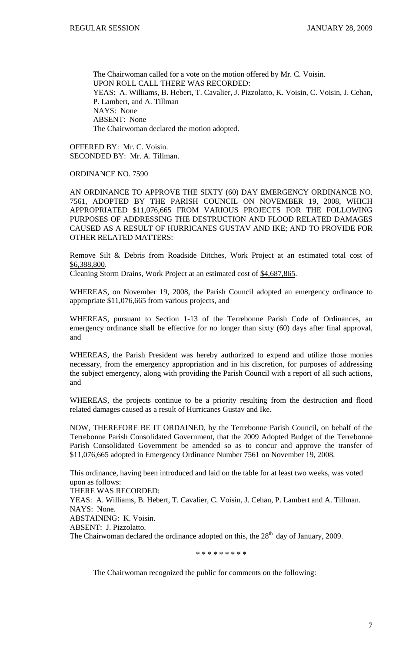The Chairwoman called for a vote on the motion offered by Mr. C. Voisin. UPON ROLL CALL THERE WAS RECORDED: YEAS: A. Williams, B. Hebert, T. Cavalier, J. Pizzolatto, K. Voisin, C. Voisin, J. Cehan, P. Lambert, and A. Tillman NAYS: None ABSENT: None The Chairwoman declared the motion adopted.

OFFERED BY: Mr. C. Voisin. SECONDED BY: Mr. A. Tillman.

ORDINANCE NO. 7590

AN ORDINANCE TO APPROVE THE SIXTY (60) DAY EMERGENCY ORDINANCE NO. 7561, ADOPTED BY THE PARISH COUNCIL ON NOVEMBER 19, 2008, WHICH APPROPRIATED \$11,076,665 FROM VARIOUS PROJECTS FOR THE FOLLOWING PURPOSES OF ADDRESSING THE DESTRUCTION AND FLOOD RELATED DAMAGES CAUSED AS A RESULT OF HURRICANES GUSTAV AND IKE; AND TO PROVIDE FOR OTHER RELATED MATTERS:

Remove Silt & Debris from Roadside Ditches, Work Project at an estimated total cost of \$6,388,800.

Cleaning Storm Drains, Work Project at an estimated cost of \$4,687,865.

WHEREAS, on November 19, 2008, the Parish Council adopted an emergency ordinance to appropriate \$11,076,665 from various projects, and

WHEREAS, pursuant to Section 1-13 of the Terrebonne Parish Code of Ordinances, an emergency ordinance shall be effective for no longer than sixty (60) days after final approval, and

WHEREAS, the Parish President was hereby authorized to expend and utilize those monies necessary, from the emergency appropriation and in his discretion, for purposes of addressing the subject emergency, along with providing the Parish Council with a report of all such actions, and

WHEREAS, the projects continue to be a priority resulting from the destruction and flood related damages caused as a result of Hurricanes Gustav and Ike.

NOW, THEREFORE BE IT ORDAINED, by the Terrebonne Parish Council, on behalf of the Terrebonne Parish Consolidated Government, that the 2009 Adopted Budget of the Terrebonne Parish Consolidated Government be amended so as to concur and approve the transfer of \$11,076,665 adopted in Emergency Ordinance Number 7561 on November 19, 2008.

This ordinance, having been introduced and laid on the table for at least two weeks, was voted upon as follows:

THERE WAS RECORDED:

YEAS: A. Williams, B. Hebert, T. Cavalier, C. Voisin, J. Cehan, P. Lambert and A. Tillman. NAYS: None.

ABSTAINING: K. Voisin.

ABSENT: J. Pizzolatto.

The Chairwoman declared the ordinance adopted on this, the  $28<sup>th</sup>$  day of January, 2009.

\* \* \* \* \* \* \* \* \*

The Chairwoman recognized the public for comments on the following: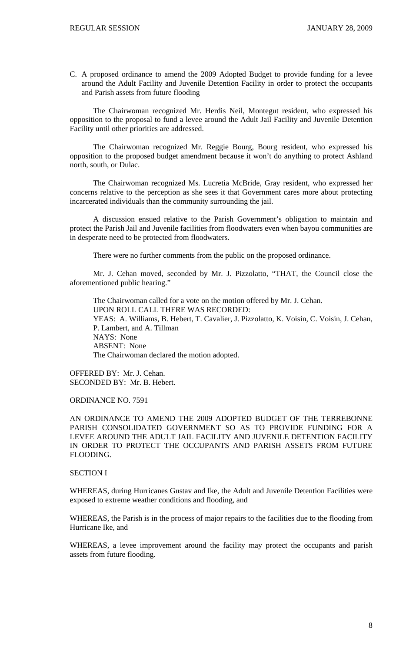C. A proposed ordinance to amend the 2009 Adopted Budget to provide funding for a levee around the Adult Facility and Juvenile Detention Facility in order to protect the occupants and Parish assets from future flooding

 The Chairwoman recognized Mr. Herdis Neil, Montegut resident, who expressed his opposition to the proposal to fund a levee around the Adult Jail Facility and Juvenile Detention Facility until other priorities are addressed.

 The Chairwoman recognized Mr. Reggie Bourg, Bourg resident, who expressed his opposition to the proposed budget amendment because it won't do anything to protect Ashland north, south, or Dulac.

 The Chairwoman recognized Ms. Lucretia McBride, Gray resident, who expressed her concerns relative to the perception as she sees it that Government cares more about protecting incarcerated individuals than the community surrounding the jail.

 A discussion ensued relative to the Parish Government's obligation to maintain and protect the Parish Jail and Juvenile facilities from floodwaters even when bayou communities are in desperate need to be protected from floodwaters.

There were no further comments from the public on the proposed ordinance.

 Mr. J. Cehan moved, seconded by Mr. J. Pizzolatto, "THAT, the Council close the aforementioned public hearing."

 The Chairwoman called for a vote on the motion offered by Mr. J. Cehan. UPON ROLL CALL THERE WAS RECORDED: YEAS: A. Williams, B. Hebert, T. Cavalier, J. Pizzolatto, K. Voisin, C. Voisin, J. Cehan, P. Lambert, and A. Tillman NAYS: None ABSENT: None The Chairwoman declared the motion adopted.

OFFERED BY: Mr. J. Cehan. SECONDED BY: Mr. B. Hebert.

ORDINANCE NO. 7591

AN ORDINANCE TO AMEND THE 2009 ADOPTED BUDGET OF THE TERREBONNE PARISH CONSOLIDATED GOVERNMENT SO AS TO PROVIDE FUNDING FOR A LEVEE AROUND THE ADULT JAIL FACILITY AND JUVENILE DETENTION FACILITY IN ORDER TO PROTECT THE OCCUPANTS AND PARISH ASSETS FROM FUTURE FLOODING.

# SECTION I

WHEREAS, during Hurricanes Gustav and Ike, the Adult and Juvenile Detention Facilities were exposed to extreme weather conditions and flooding, and

WHEREAS, the Parish is in the process of major repairs to the facilities due to the flooding from Hurricane Ike, and

WHEREAS, a levee improvement around the facility may protect the occupants and parish assets from future flooding.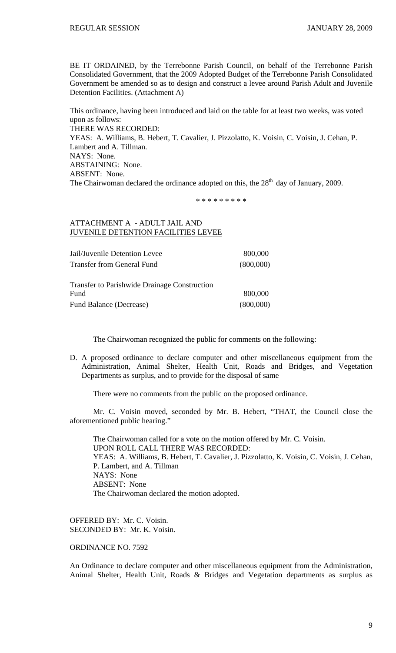BE IT ORDAINED, by the Terrebonne Parish Council, on behalf of the Terrebonne Parish Consolidated Government, that the 2009 Adopted Budget of the Terrebonne Parish Consolidated Government be amended so as to design and construct a levee around Parish Adult and Juvenile Detention Facilities. (Attachment A)

This ordinance, having been introduced and laid on the table for at least two weeks, was voted upon as follows: THERE WAS RECORDED: YEAS: A. Williams, B. Hebert, T. Cavalier, J. Pizzolatto, K. Voisin, C. Voisin, J. Cehan, P. Lambert and A. Tillman. NAYS: None. ABSTAINING: None. ABSENT: None. The Chairwoman declared the ordinance adopted on this, the  $28<sup>th</sup>$  day of January, 2009.

\* \* \* \* \* \* \* \* \*

# ATTACHMENT A - ADULT JAIL AND JUVENILE DETENTION FACILITIES LEVEE

| Jail/Juvenile Detention Levee     | 800,000   |
|-----------------------------------|-----------|
| <b>Transfer from General Fund</b> | (800,000) |

Transfer to Parishwide Drainage Construction Fund 800,000 Fund Balance (Decrease) (800,000)

The Chairwoman recognized the public for comments on the following:

D. A proposed ordinance to declare computer and other miscellaneous equipment from the Administration, Animal Shelter, Health Unit, Roads and Bridges, and Vegetation Departments as surplus, and to provide for the disposal of same

There were no comments from the public on the proposed ordinance.

 Mr. C. Voisin moved, seconded by Mr. B. Hebert, "THAT, the Council close the aforementioned public hearing."

 The Chairwoman called for a vote on the motion offered by Mr. C. Voisin. UPON ROLL CALL THERE WAS RECORDED: YEAS: A. Williams, B. Hebert, T. Cavalier, J. Pizzolatto, K. Voisin, C. Voisin, J. Cehan, P. Lambert, and A. Tillman NAYS: None ABSENT: None The Chairwoman declared the motion adopted.

OFFERED BY: Mr. C. Voisin. SECONDED BY: Mr. K. Voisin.

ORDINANCE NO. 7592

An Ordinance to declare computer and other miscellaneous equipment from the Administration, Animal Shelter, Health Unit, Roads & Bridges and Vegetation departments as surplus as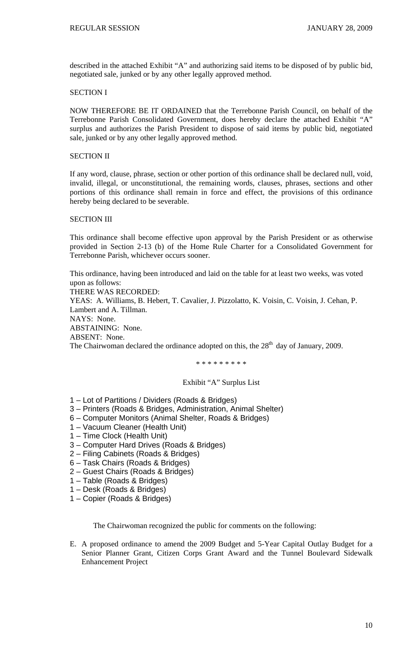described in the attached Exhibit "A" and authorizing said items to be disposed of by public bid, negotiated sale, junked or by any other legally approved method.

### SECTION I

NOW THEREFORE BE IT ORDAINED that the Terrebonne Parish Council, on behalf of the Terrebonne Parish Consolidated Government, does hereby declare the attached Exhibit "A" surplus and authorizes the Parish President to dispose of said items by public bid, negotiated sale, junked or by any other legally approved method.

#### SECTION II

If any word, clause, phrase, section or other portion of this ordinance shall be declared null, void, invalid, illegal, or unconstitutional, the remaining words, clauses, phrases, sections and other portions of this ordinance shall remain in force and effect, the provisions of this ordinance hereby being declared to be severable.

### SECTION III

This ordinance shall become effective upon approval by the Parish President or as otherwise provided in Section 2-13 (b) of the Home Rule Charter for a Consolidated Government for Terrebonne Parish, whichever occurs sooner.

This ordinance, having been introduced and laid on the table for at least two weeks, was voted upon as follows: THERE WAS RECORDED: YEAS: A. Williams, B. Hebert, T. Cavalier, J. Pizzolatto, K. Voisin, C. Voisin, J. Cehan, P. Lambert and A. Tillman. NAYS: None. ABSTAINING: None. ABSENT: None. The Chairwoman declared the ordinance adopted on this, the  $28<sup>th</sup>$  day of January, 2009.

\* \* \* \* \* \* \* \* \*

### Exhibit "A" Surplus List

- 1 Lot of Partitions / Dividers (Roads & Bridges)
- 3 Printers (Roads & Bridges, Administration, Animal Shelter)
- 6 Computer Monitors (Animal Shelter, Roads & Bridges)
- 1 Vacuum Cleaner (Health Unit)
- 1 Time Clock (Health Unit)
- 3 Computer Hard Drives (Roads & Bridges)
- 2 Filing Cabinets (Roads & Bridges)
- 6 Task Chairs (Roads & Bridges)
- 2 Guest Chairs (Roads & Bridges)
- 1 Table (Roads & Bridges)
- 1 Desk (Roads & Bridges)
- 1 Copier (Roads & Bridges)

The Chairwoman recognized the public for comments on the following:

E. A proposed ordinance to amend the 2009 Budget and 5-Year Capital Outlay Budget for a Senior Planner Grant, Citizen Corps Grant Award and the Tunnel Boulevard Sidewalk Enhancement Project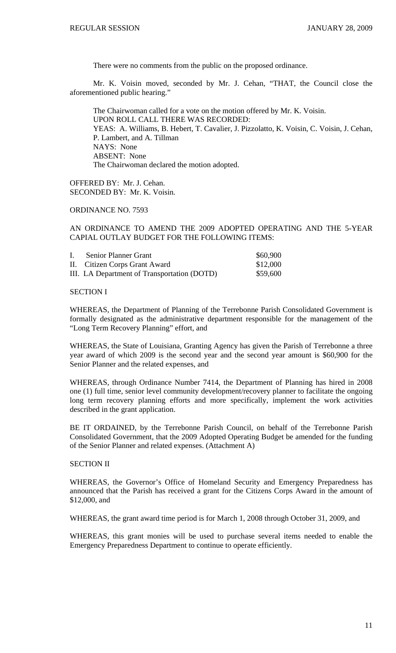There were no comments from the public on the proposed ordinance.

 Mr. K. Voisin moved, seconded by Mr. J. Cehan, "THAT, the Council close the aforementioned public hearing."

 The Chairwoman called for a vote on the motion offered by Mr. K. Voisin. UPON ROLL CALL THERE WAS RECORDED: YEAS: A. Williams, B. Hebert, T. Cavalier, J. Pizzolatto, K. Voisin, C. Voisin, J. Cehan, P. Lambert, and A. Tillman NAYS: None ABSENT: None The Chairwoman declared the motion adopted.

OFFERED BY: Mr. J. Cehan. SECONDED BY: Mr. K. Voisin.

ORDINANCE NO. 7593

AN ORDINANCE TO AMEND THE 2009 ADOPTED OPERATING AND THE 5-YEAR CAPIAL OUTLAY BUDGET FOR THE FOLLOWING ITEMS:

| $\mathbf{I}$ . | Senior Planner Grant                        | \$60,900 |
|----------------|---------------------------------------------|----------|
|                | II. Citizen Corps Grant Award               | \$12,000 |
|                | III. LA Department of Transportation (DOTD) | \$59,600 |

SECTION I

WHEREAS, the Department of Planning of the Terrebonne Parish Consolidated Government is formally designated as the administrative department responsible for the management of the "Long Term Recovery Planning" effort, and

WHEREAS, the State of Louisiana, Granting Agency has given the Parish of Terrebonne a three year award of which 2009 is the second year and the second year amount is \$60,900 for the Senior Planner and the related expenses, and

WHEREAS, through Ordinance Number 7414, the Department of Planning has hired in 2008 one (1) full time, senior level community development/recovery planner to facilitate the ongoing long term recovery planning efforts and more specifically, implement the work activities described in the grant application.

BE IT ORDAINED, by the Terrebonne Parish Council, on behalf of the Terrebonne Parish Consolidated Government, that the 2009 Adopted Operating Budget be amended for the funding of the Senior Planner and related expenses. (Attachment A)

# SECTION II

WHEREAS, the Governor's Office of Homeland Security and Emergency Preparedness has announced that the Parish has received a grant for the Citizens Corps Award in the amount of \$12,000, and

WHEREAS, the grant award time period is for March 1, 2008 through October 31, 2009, and

WHEREAS, this grant monies will be used to purchase several items needed to enable the Emergency Preparedness Department to continue to operate efficiently.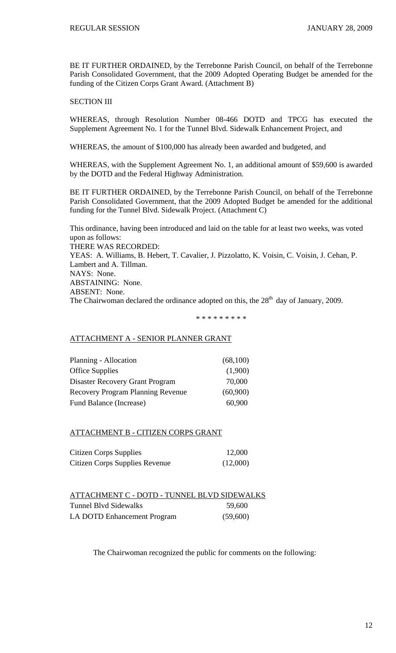BE IT FURTHER ORDAINED, by the Terrebonne Parish Council, on behalf of the Terrebonne Parish Consolidated Government, that the 2009 Adopted Operating Budget be amended for the funding of the Citizen Corps Grant Award. (Attachment B)

# SECTION III

WHEREAS, through Resolution Number 08-466 DOTD and TPCG has executed the Supplement Agreement No. 1 for the Tunnel Blvd. Sidewalk Enhancement Project, and

WHEREAS, the amount of \$100,000 has already been awarded and budgeted, and

WHEREAS, with the Supplement Agreement No. 1, an additional amount of \$59,600 is awarded by the DOTD and the Federal Highway Administration.

BE IT FURTHER ORDAINED, by the Terrebonne Parish Council, on behalf of the Terrebonne Parish Consolidated Government, that the 2009 Adopted Budget be amended for the additional funding for the Tunnel Blvd. Sidewalk Project. (Attachment C)

This ordinance, having been introduced and laid on the table for at least two weeks, was voted upon as follows: THERE WAS RECORDED: YEAS: A. Williams, B. Hebert, T. Cavalier, J. Pizzolatto, K. Voisin, C. Voisin, J. Cehan, P. Lambert and A. Tillman. NAYS: None. ABSTAINING: None. ABSENT: None. The Chairwoman declared the ordinance adopted on this, the  $28<sup>th</sup>$  day of January, 2009.

\* \* \* \* \* \* \* \* \*

## ATTACHMENT A - SENIOR PLANNER GRANT

| Planning - Allocation                    | (68,100) |
|------------------------------------------|----------|
| <b>Office Supplies</b>                   | (1,900)  |
| Disaster Recovery Grant Program          | 70,000   |
| <b>Recovery Program Planning Revenue</b> | (60,900) |
| Fund Balance (Increase)                  | 60,900   |

## ATTACHMENT B - CITIZEN CORPS GRANT

| <b>Citizen Corps Supplies</b>  | 12,000   |
|--------------------------------|----------|
| Citizen Corps Supplies Revenue | (12,000) |

| ATTACHMENT C - DOTD - TUNNEL BLVD SIDEWALKS |          |
|---------------------------------------------|----------|
| Tunnel Blyd Sidewalks                       | 59,600   |
| LA DOTD Enhancement Program                 | (59,600) |

The Chairwoman recognized the public for comments on the following: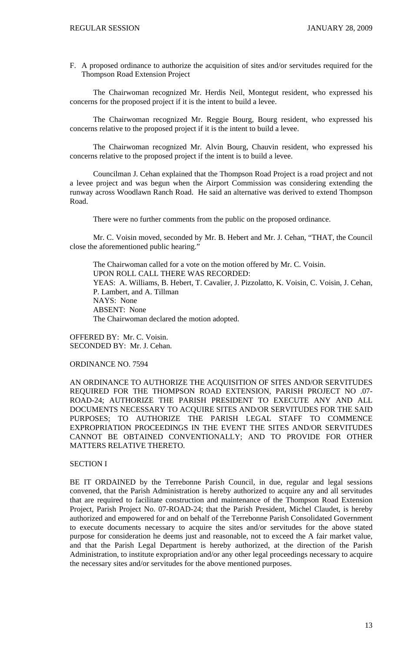F. A proposed ordinance to authorize the acquisition of sites and/or servitudes required for the Thompson Road Extension Project

 The Chairwoman recognized Mr. Herdis Neil, Montegut resident, who expressed his concerns for the proposed project if it is the intent to build a levee.

 The Chairwoman recognized Mr. Reggie Bourg, Bourg resident, who expressed his concerns relative to the proposed project if it is the intent to build a levee.

 The Chairwoman recognized Mr. Alvin Bourg, Chauvin resident, who expressed his concerns relative to the proposed project if the intent is to build a levee.

 Councilman J. Cehan explained that the Thompson Road Project is a road project and not a levee project and was begun when the Airport Commission was considering extending the runway across Woodlawn Ranch Road. He said an alternative was derived to extend Thompson Road.

There were no further comments from the public on the proposed ordinance.

 Mr. C. Voisin moved, seconded by Mr. B. Hebert and Mr. J. Cehan, "THAT, the Council close the aforementioned public hearing."

 The Chairwoman called for a vote on the motion offered by Mr. C. Voisin. UPON ROLL CALL THERE WAS RECORDED: YEAS: A. Williams, B. Hebert, T. Cavalier, J. Pizzolatto, K. Voisin, C. Voisin, J. Cehan, P. Lambert, and A. Tillman NAYS: None ABSENT: None The Chairwoman declared the motion adopted.

OFFERED BY: Mr. C. Voisin. SECONDED BY: Mr. J. Cehan.

ORDINANCE NO. 7594

AN ORDINANCE TO AUTHORIZE THE ACQUISITION OF SITES AND/OR SERVITUDES REQUIRED FOR THE THOMPSON ROAD EXTENSION, PARISH PROJECT NO .07- ROAD-24; AUTHORIZE THE PARISH PRESIDENT TO EXECUTE ANY AND ALL DOCUMENTS NECESSARY TO ACQUIRE SITES AND/OR SERVITUDES FOR THE SAID PURPOSES; TO AUTHORIZE THE PARISH LEGAL STAFF TO COMMENCE EXPROPRIATION PROCEEDINGS IN THE EVENT THE SITES AND/OR SERVITUDES CANNOT BE OBTAINED CONVENTIONALLY; AND TO PROVIDE FOR OTHER MATTERS RELATIVE THERETO.

# SECTION I

BE IT ORDAINED by the Terrebonne Parish Council, in due, regular and legal sessions convened, that the Parish Administration is hereby authorized to acquire any and all servitudes that are required to facilitate construction and maintenance of the Thompson Road Extension Project, Parish Project No. 07-ROAD-24; that the Parish President, Michel Claudet, is hereby authorized and empowered for and on behalf of the Terrebonne Parish Consolidated Government to execute documents necessary to acquire the sites and/or servitudes for the above stated purpose for consideration he deems just and reasonable, not to exceed the A fair market value, and that the Parish Legal Department is hereby authorized, at the direction of the Parish Administration, to institute expropriation and/or any other legal proceedings necessary to acquire the necessary sites and/or servitudes for the above mentioned purposes.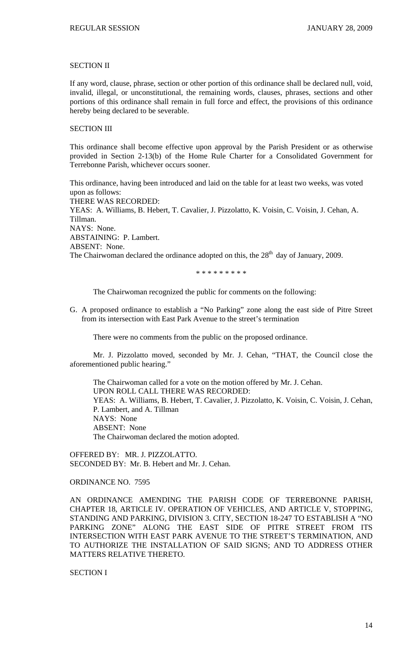## SECTION II

If any word, clause, phrase, section or other portion of this ordinance shall be declared null, void, invalid, illegal, or unconstitutional, the remaining words, clauses, phrases, sections and other portions of this ordinance shall remain in full force and effect, the provisions of this ordinance hereby being declared to be severable.

## SECTION III

This ordinance shall become effective upon approval by the Parish President or as otherwise provided in Section 2-13(b) of the Home Rule Charter for a Consolidated Government for Terrebonne Parish, whichever occurs sooner.

This ordinance, having been introduced and laid on the table for at least two weeks, was voted upon as follows: THERE WAS RECORDED: YEAS: A. Williams, B. Hebert, T. Cavalier, J. Pizzolatto, K. Voisin, C. Voisin, J. Cehan, A. Tillman. NAYS: None. ABSTAINING: P. Lambert. ABSENT: None. The Chairwoman declared the ordinance adopted on this, the  $28<sup>th</sup>$  day of January, 2009.

\* \* \* \* \* \* \* \* \*

The Chairwoman recognized the public for comments on the following:

G. A proposed ordinance to establish a "No Parking" zone along the east side of Pitre Street from its intersection with East Park Avenue to the street's termination

There were no comments from the public on the proposed ordinance.

 Mr. J. Pizzolatto moved, seconded by Mr. J. Cehan, "THAT, the Council close the aforementioned public hearing."

 The Chairwoman called for a vote on the motion offered by Mr. J. Cehan. UPON ROLL CALL THERE WAS RECORDED: YEAS: A. Williams, B. Hebert, T. Cavalier, J. Pizzolatto, K. Voisin, C. Voisin, J. Cehan, P. Lambert, and A. Tillman NAYS: None ABSENT: None The Chairwoman declared the motion adopted.

OFFERED BY: MR. J. PIZZOLATTO. SECONDED BY: Mr. B. Hebert and Mr. J. Cehan.

ORDINANCE NO. 7595

AN ORDINANCE AMENDING THE PARISH CODE OF TERREBONNE PARISH, CHAPTER 18, ARTICLE IV. OPERATION OF VEHICLES, AND ARTICLE V, STOPPING, STANDING AND PARKING, DIVISION 3. CITY, SECTION 18-247 TO ESTABLISH A "NO PARKING ZONE" ALONG THE EAST SIDE OF PITRE STREET FROM ITS INTERSECTION WITH EAST PARK AVENUE TO THE STREET'S TERMINATION, AND TO AUTHORIZE THE INSTALLATION OF SAID SIGNS; AND TO ADDRESS OTHER MATTERS RELATIVE THERETO.

SECTION I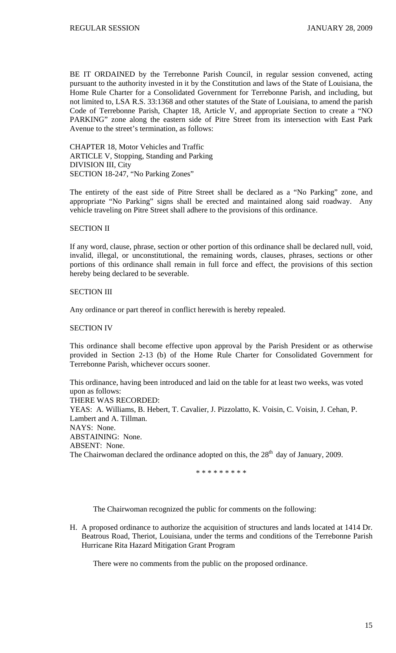BE IT ORDAINED by the Terrebonne Parish Council, in regular session convened, acting pursuant to the authority invested in it by the Constitution and laws of the State of Louisiana, the Home Rule Charter for a Consolidated Government for Terrebonne Parish, and including, but not limited to, LSA R.S. 33:1368 and other statutes of the State of Louisiana, to amend the parish Code of Terrebonne Parish, Chapter 18, Article V, and appropriate Section to create a "NO PARKING" zone along the eastern side of Pitre Street from its intersection with East Park Avenue to the street's termination, as follows:

CHAPTER 18, Motor Vehicles and Traffic ARTICLE V, Stopping, Standing and Parking DIVISION III, City SECTION 18-247, "No Parking Zones"

The entirety of the east side of Pitre Street shall be declared as a "No Parking" zone, and appropriate "No Parking" signs shall be erected and maintained along said roadway. Any vehicle traveling on Pitre Street shall adhere to the provisions of this ordinance.

## SECTION II

If any word, clause, phrase, section or other portion of this ordinance shall be declared null, void, invalid, illegal, or unconstitutional, the remaining words, clauses, phrases, sections or other portions of this ordinance shall remain in full force and effect, the provisions of this section hereby being declared to be severable.

## SECTION III

Any ordinance or part thereof in conflict herewith is hereby repealed.

## SECTION IV

This ordinance shall become effective upon approval by the Parish President or as otherwise provided in Section 2-13 (b) of the Home Rule Charter for Consolidated Government for Terrebonne Parish, whichever occurs sooner.

This ordinance, having been introduced and laid on the table for at least two weeks, was voted upon as follows: THERE WAS RECORDED: YEAS: A. Williams, B. Hebert, T. Cavalier, J. Pizzolatto, K. Voisin, C. Voisin, J. Cehan, P. Lambert and A. Tillman. NAYS: None. ABSTAINING: None. ABSENT: None. The Chairwoman declared the ordinance adopted on this, the  $28<sup>th</sup>$  day of January, 2009.

\* \* \* \* \* \* \* \* \*

The Chairwoman recognized the public for comments on the following:

H. A proposed ordinance to authorize the acquisition of structures and lands located at 1414 Dr. Beatrous Road, Theriot, Louisiana, under the terms and conditions of the Terrebonne Parish Hurricane Rita Hazard Mitigation Grant Program

There were no comments from the public on the proposed ordinance.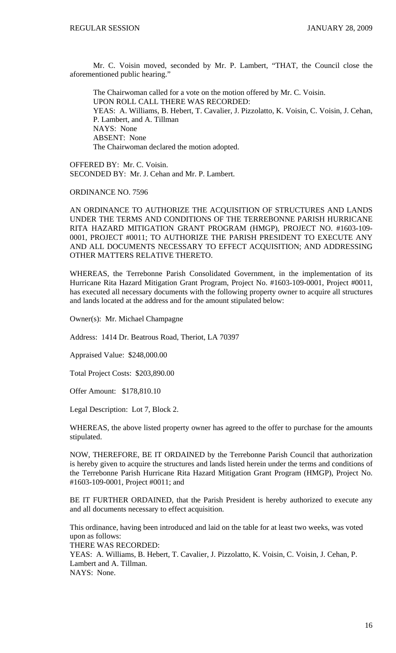Mr. C. Voisin moved, seconded by Mr. P. Lambert, "THAT, the Council close the aforementioned public hearing."

 The Chairwoman called for a vote on the motion offered by Mr. C. Voisin. UPON ROLL CALL THERE WAS RECORDED: YEAS: A. Williams, B. Hebert, T. Cavalier, J. Pizzolatto, K. Voisin, C. Voisin, J. Cehan, P. Lambert, and A. Tillman NAYS: None ABSENT: None The Chairwoman declared the motion adopted.

OFFERED BY: Mr. C. Voisin. SECONDED BY: Mr. J. Cehan and Mr. P. Lambert.

ORDINANCE NO. 7596

AN ORDINANCE TO AUTHORIZE THE ACQUISITION OF STRUCTURES AND LANDS UNDER THE TERMS AND CONDITIONS OF THE TERREBONNE PARISH HURRICANE RITA HAZARD MITIGATION GRANT PROGRAM (HMGP), PROJECT NO. #1603-109- 0001, PROJECT #0011; TO AUTHORIZE THE PARISH PRESIDENT TO EXECUTE ANY AND ALL DOCUMENTS NECESSARY TO EFFECT ACQUISITION; AND ADDRESSING OTHER MATTERS RELATIVE THERETO.

WHEREAS, the Terrebonne Parish Consolidated Government, in the implementation of its Hurricane Rita Hazard Mitigation Grant Program, Project No. #1603-109-0001, Project #0011, has executed all necessary documents with the following property owner to acquire all structures and lands located at the address and for the amount stipulated below:

Owner(s): Mr. Michael Champagne

Address: 1414 Dr. Beatrous Road, Theriot, LA 70397

Appraised Value: \$248,000.00

Total Project Costs: \$203,890.00

Offer Amount: \$178,810.10

Legal Description: Lot 7, Block 2.

WHEREAS, the above listed property owner has agreed to the offer to purchase for the amounts stipulated.

NOW, THEREFORE, BE IT ORDAINED by the Terrebonne Parish Council that authorization is hereby given to acquire the structures and lands listed herein under the terms and conditions of the Terrebonne Parish Hurricane Rita Hazard Mitigation Grant Program (HMGP), Project No. #1603-109-0001, Project #0011; and

BE IT FURTHER ORDAINED, that the Parish President is hereby authorized to execute any and all documents necessary to effect acquisition.

This ordinance, having been introduced and laid on the table for at least two weeks, was voted upon as follows: THERE WAS RECORDED: YEAS: A. Williams, B. Hebert, T. Cavalier, J. Pizzolatto, K. Voisin, C. Voisin, J. Cehan, P. Lambert and A. Tillman. NAYS: None.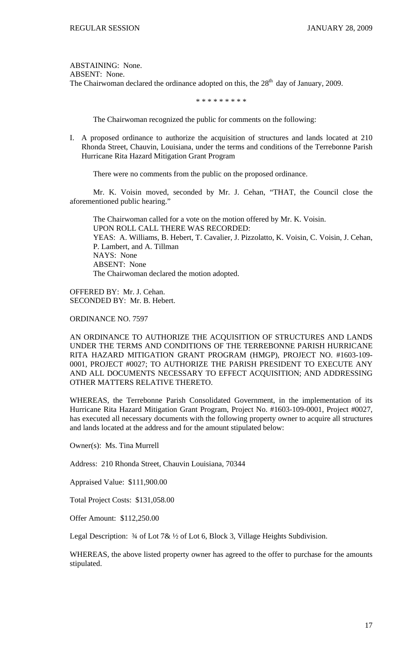ABSTAINING: None. ABSENT: None. The Chairwoman declared the ordinance adopted on this, the  $28<sup>th</sup>$  day of January, 2009.

\* \* \* \* \* \* \* \* \*

The Chairwoman recognized the public for comments on the following:

I. A proposed ordinance to authorize the acquisition of structures and lands located at 210 Rhonda Street, Chauvin, Louisiana, under the terms and conditions of the Terrebonne Parish Hurricane Rita Hazard Mitigation Grant Program

There were no comments from the public on the proposed ordinance.

 Mr. K. Voisin moved, seconded by Mr. J. Cehan, "THAT, the Council close the aforementioned public hearing."

 The Chairwoman called for a vote on the motion offered by Mr. K. Voisin. UPON ROLL CALL THERE WAS RECORDED: YEAS: A. Williams, B. Hebert, T. Cavalier, J. Pizzolatto, K. Voisin, C. Voisin, J. Cehan, P. Lambert, and A. Tillman NAYS: None ABSENT: None The Chairwoman declared the motion adopted.

OFFERED BY: Mr. J. Cehan. SECONDED BY: Mr. B. Hebert.

ORDINANCE NO. 7597

AN ORDINANCE TO AUTHORIZE THE ACQUISITION OF STRUCTURES AND LANDS UNDER THE TERMS AND CONDITIONS OF THE TERREBONNE PARISH HURRICANE RITA HAZARD MITIGATION GRANT PROGRAM (HMGP), PROJECT NO. #1603-109- 0001, PROJECT #0027; TO AUTHORIZE THE PARISH PRESIDENT TO EXECUTE ANY AND ALL DOCUMENTS NECESSARY TO EFFECT ACQUISITION; AND ADDRESSING OTHER MATTERS RELATIVE THERETO.

WHEREAS, the Terrebonne Parish Consolidated Government, in the implementation of its Hurricane Rita Hazard Mitigation Grant Program, Project No. #1603-109-0001, Project #0027, has executed all necessary documents with the following property owner to acquire all structures and lands located at the address and for the amount stipulated below:

Owner(s): Ms. Tina Murrell

Address: 210 Rhonda Street, Chauvin Louisiana, 70344

Appraised Value: \$111,900.00

Total Project Costs: \$131,058.00

Offer Amount: \$112,250.00

Legal Description:  $\frac{3}{4}$  of Lot 7&  $\frac{1}{2}$  of Lot 6, Block 3, Village Heights Subdivision.

WHEREAS, the above listed property owner has agreed to the offer to purchase for the amounts stipulated.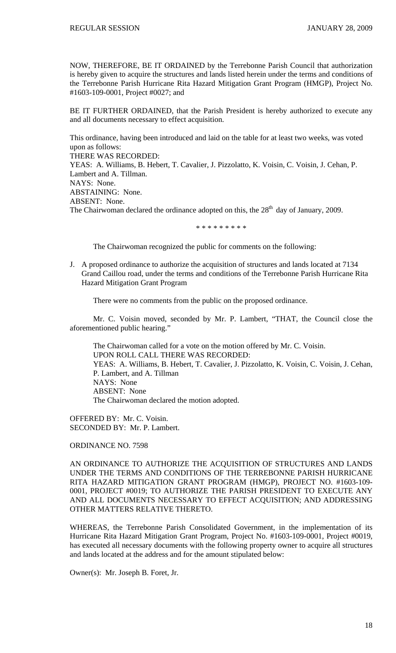NOW, THEREFORE, BE IT ORDAINED by the Terrebonne Parish Council that authorization is hereby given to acquire the structures and lands listed herein under the terms and conditions of the Terrebonne Parish Hurricane Rita Hazard Mitigation Grant Program (HMGP), Project No. #1603-109-0001, Project #0027; and

BE IT FURTHER ORDAINED, that the Parish President is hereby authorized to execute any and all documents necessary to effect acquisition.

This ordinance, having been introduced and laid on the table for at least two weeks, was voted upon as follows: THERE WAS RECORDED: YEAS: A. Williams, B. Hebert, T. Cavalier, J. Pizzolatto, K. Voisin, C. Voisin, J. Cehan, P. Lambert and A. Tillman. NAYS: None. ABSTAINING: None. ABSENT: None. The Chairwoman declared the ordinance adopted on this, the  $28<sup>th</sup>$  day of January, 2009.

\* \* \* \* \* \* \* \* \*

The Chairwoman recognized the public for comments on the following:

J. A proposed ordinance to authorize the acquisition of structures and lands located at 7134 Grand Caillou road, under the terms and conditions of the Terrebonne Parish Hurricane Rita Hazard Mitigation Grant Program

There were no comments from the public on the proposed ordinance.

 Mr. C. Voisin moved, seconded by Mr. P. Lambert, "THAT, the Council close the aforementioned public hearing."

 The Chairwoman called for a vote on the motion offered by Mr. C. Voisin. UPON ROLL CALL THERE WAS RECORDED: YEAS: A. Williams, B. Hebert, T. Cavalier, J. Pizzolatto, K. Voisin, C. Voisin, J. Cehan, P. Lambert, and A. Tillman NAYS: None ABSENT: None The Chairwoman declared the motion adopted.

OFFERED BY: Mr. C. Voisin. SECONDED BY: Mr. P. Lambert.

ORDINANCE NO. 7598

AN ORDINANCE TO AUTHORIZE THE ACQUISITION OF STRUCTURES AND LANDS UNDER THE TERMS AND CONDITIONS OF THE TERREBONNE PARISH HURRICANE RITA HAZARD MITIGATION GRANT PROGRAM (HMGP), PROJECT NO. #1603-109- 0001, PROJECT #0019; TO AUTHORIZE THE PARISH PRESIDENT TO EXECUTE ANY AND ALL DOCUMENTS NECESSARY TO EFFECT ACQUISITION; AND ADDRESSING OTHER MATTERS RELATIVE THERETO.

WHEREAS, the Terrebonne Parish Consolidated Government, in the implementation of its Hurricane Rita Hazard Mitigation Grant Program, Project No. #1603-109-0001, Project #0019, has executed all necessary documents with the following property owner to acquire all structures and lands located at the address and for the amount stipulated below:

Owner(s): Mr. Joseph B. Foret, Jr.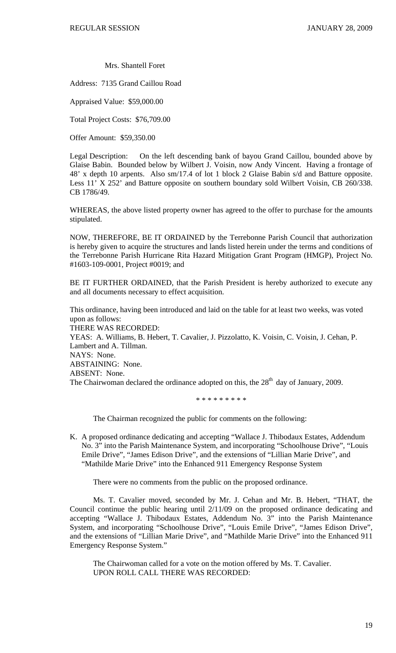Mrs. Shantell Foret

Address: 7135 Grand Caillou Road

Appraised Value: \$59,000.00

Total Project Costs: \$76,709.00

Offer Amount: \$59,350.00

Legal Description: On the left descending bank of bayou Grand Caillou, bounded above by Glaise Babin. Bounded below by Wilbert J. Voisin, now Andy Vincent. Having a frontage of 48' x depth 10 arpents. Also sm/17.4 of lot 1 block 2 Glaise Babin s/d and Batture opposite. Less 11' X 252' and Batture opposite on southern boundary sold Wilbert Voisin, CB 260/338. CB 1786/49.

WHEREAS, the above listed property owner has agreed to the offer to purchase for the amounts stipulated.

NOW, THEREFORE, BE IT ORDAINED by the Terrebonne Parish Council that authorization is hereby given to acquire the structures and lands listed herein under the terms and conditions of the Terrebonne Parish Hurricane Rita Hazard Mitigation Grant Program (HMGP), Project No. #1603-109-0001, Project #0019; and

BE IT FURTHER ORDAINED, that the Parish President is hereby authorized to execute any and all documents necessary to effect acquisition.

This ordinance, having been introduced and laid on the table for at least two weeks, was voted upon as follows: THERE WAS RECORDED: YEAS: A. Williams, B. Hebert, T. Cavalier, J. Pizzolatto, K. Voisin, C. Voisin, J. Cehan, P. Lambert and A. Tillman. NAYS: None. ABSTAINING: None. ABSENT: None. The Chairwoman declared the ordinance adopted on this, the  $28<sup>th</sup>$  day of January, 2009.

\* \* \* \* \* \* \* \* \*

The Chairman recognized the public for comments on the following:

K. A proposed ordinance dedicating and accepting "Wallace J. Thibodaux Estates, Addendum No. 3" into the Parish Maintenance System, and incorporating "Schoolhouse Drive", "Louis Emile Drive", "James Edison Drive", and the extensions of "Lillian Marie Drive", and "Mathilde Marie Drive" into the Enhanced 911 Emergency Response System

There were no comments from the public on the proposed ordinance.

 Ms. T. Cavalier moved, seconded by Mr. J. Cehan and Mr. B. Hebert, "THAT, the Council continue the public hearing until 2/11/09 on the proposed ordinance dedicating and accepting "Wallace J. Thibodaux Estates, Addendum No. 3" into the Parish Maintenance System, and incorporating "Schoolhouse Drive", "Louis Emile Drive", "James Edison Drive", and the extensions of "Lillian Marie Drive", and "Mathilde Marie Drive" into the Enhanced 911 Emergency Response System."

 The Chairwoman called for a vote on the motion offered by Ms. T. Cavalier. UPON ROLL CALL THERE WAS RECORDED: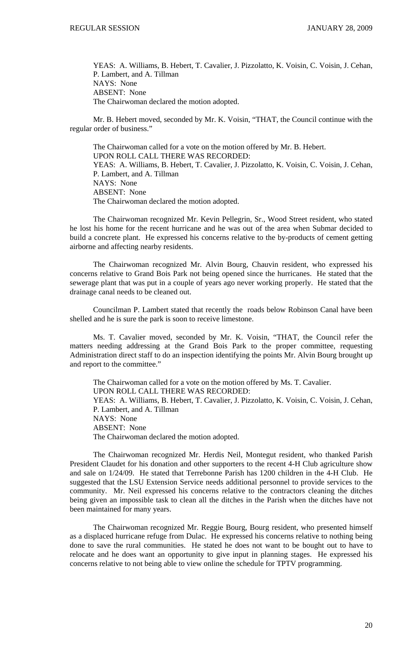YEAS: A. Williams, B. Hebert, T. Cavalier, J. Pizzolatto, K. Voisin, C. Voisin, J. Cehan, P. Lambert, and A. Tillman NAYS: None ABSENT: None The Chairwoman declared the motion adopted.

Mr. B. Hebert moved, seconded by Mr. K. Voisin, "THAT, the Council continue with the regular order of business."

 The Chairwoman called for a vote on the motion offered by Mr. B. Hebert. UPON ROLL CALL THERE WAS RECORDED: YEAS: A. Williams, B. Hebert, T. Cavalier, J. Pizzolatto, K. Voisin, C. Voisin, J. Cehan, P. Lambert, and A. Tillman NAYS: None ABSENT: None The Chairwoman declared the motion adopted.

 The Chairwoman recognized Mr. Kevin Pellegrin, Sr., Wood Street resident, who stated he lost his home for the recent hurricane and he was out of the area when Submar decided to build a concrete plant. He expressed his concerns relative to the by-products of cement getting airborne and affecting nearby residents.

 The Chairwoman recognized Mr. Alvin Bourg, Chauvin resident, who expressed his concerns relative to Grand Bois Park not being opened since the hurricanes. He stated that the sewerage plant that was put in a couple of years ago never working properly. He stated that the drainage canal needs to be cleaned out.

 Councilman P. Lambert stated that recently the roads below Robinson Canal have been shelled and he is sure the park is soon to receive limestone.

 Ms. T. Cavalier moved, seconded by Mr. K. Voisin, "THAT, the Council refer the matters needing addressing at the Grand Bois Park to the proper committee, requesting Administration direct staff to do an inspection identifying the points Mr. Alvin Bourg brought up and report to the committee."

 The Chairwoman called for a vote on the motion offered by Ms. T. Cavalier. UPON ROLL CALL THERE WAS RECORDED: YEAS: A. Williams, B. Hebert, T. Cavalier, J. Pizzolatto, K. Voisin, C. Voisin, J. Cehan, P. Lambert, and A. Tillman NAYS: None ABSENT: None The Chairwoman declared the motion adopted.

 The Chairwoman recognized Mr. Herdis Neil, Montegut resident, who thanked Parish President Claudet for his donation and other supporters to the recent 4-H Club agriculture show and sale on 1/24/09. He stated that Terrebonne Parish has 1200 children in the 4-H Club. He suggested that the LSU Extension Service needs additional personnel to provide services to the community. Mr. Neil expressed his concerns relative to the contractors cleaning the ditches being given an impossible task to clean all the ditches in the Parish when the ditches have not been maintained for many years.

 The Chairwoman recognized Mr. Reggie Bourg, Bourg resident, who presented himself as a displaced hurricane refuge from Dulac. He expressed his concerns relative to nothing being done to save the rural communities. He stated he does not want to be bought out to have to relocate and he does want an opportunity to give input in planning stages. He expressed his concerns relative to not being able to view online the schedule for TPTV programming.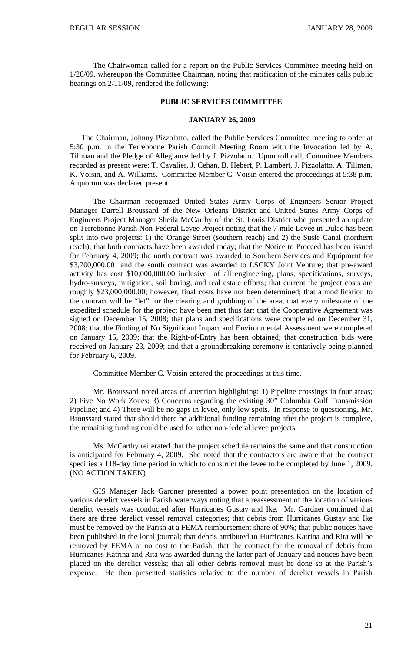The Chairwoman called for a report on the Public Services Committee meeting held on 1/26/09, whereupon the Committee Chairman, noting that ratification of the minutes calls public hearings on 2/11/09, rendered the following:

### **PUBLIC SERVICES COMMITTEE**

#### **JANUARY 26, 2009**

 The Chairman, Johnny Pizzolatto, called the Public Services Committee meeting to order at 5:30 p.m. in the Terrebonne Parish Council Meeting Room with the Invocation led by A. Tillman and the Pledge of Allegiance led by J. Pizzolatto. Upon roll call, Committee Members recorded as present were: T. Cavalier, J. Cehan, B. Hebert, P. Lambert, J. Pizzolatto, A. Tillman, K. Voisin, and A. Williams. Committee Member C. Voisin entered the proceedings at 5:38 p.m. A quorum was declared present.

 The Chairman recognized United States Army Corps of Engineers Senior Project Manager Darrell Broussard of the New Orleans District and United States Army Corps of Engineers Project Manager Sheila McCarthy of the St. Louis District who presented an update on Terrebonne Parish Non-Federal Levee Project noting that the 7-mile Levee in Dulac has been split into two projects: 1) the Orange Street (southern reach) and 2) the Susie Canal (northern reach); that both contracts have been awarded today; that the Notice to Proceed has been issued for February 4, 2009; the north contract was awarded to Southern Services and Equipment for \$3,700,000.00 and the south contract was awarded to LSCKY Joint Venture; that pre-award activity has cost \$10,000,000.00 inclusive of all engineering, plans, specifications, surveys, hydro-surveys, mitigation, soil boring, and real estate efforts; that current the project costs are roughly \$23,000,000.00; however, final costs have not been determined; that a modification to the contract will be "let" for the clearing and grubbing of the area; that every milestone of the expedited schedule for the project have been met thus far; that the Cooperative Agreement was signed on December 15, 2008; that plans and specifications were completed on December 31, 2008; that the Finding of No Significant Impact and Environmental Assessment were completed on January 15, 2009; that the Right-of-Entry has been obtained; that construction bids were received on January 23, 2009; and that a groundbreaking ceremony is tentatively being planned for February 6, 2009.

Committee Member C. Voisin entered the proceedings at this time.

 Mr. Broussard noted areas of attention highlighting: 1) Pipeline crossings in four areas; 2) Five No Work Zones; 3) Concerns regarding the existing 30" Columbia Gulf Transmission Pipeline; and 4) There will be no gaps in levee, only low spots. In response to questioning, Mr. Broussard stated that should there be additional funding remaining after the project is complete, the remaining funding could be used for other non-federal levee projects.

 Ms. McCarthy reiterated that the project schedule remains the same and that construction is anticipated for February 4, 2009. She noted that the contractors are aware that the contract specifies a 118-day time period in which to construct the levee to be completed by June 1, 2009. (NO ACTION TAKEN)

 GIS Manager Jack Gardner presented a power point presentation on the location of various derelict vessels in Parish waterways noting that a reassessment of the location of various derelict vessels was conducted after Hurricanes Gustav and Ike. Mr. Gardner continued that there are three derelict vessel removal categories; that debris from Hurricanes Gustav and Ike must be removed by the Parish at a FEMA reimbursement share of 90%; that public notices have been published in the local journal; that debris attributed to Hurricanes Katrina and Rita will be removed by FEMA at no cost to the Parish; that the contract for the removal of debris from Hurricanes Katrina and Rita was awarded during the latter part of January and notices have been placed on the derelict vessels; that all other debris removal must be done so at the Parish's expense. He then presented statistics relative to the number of derelict vessels in Parish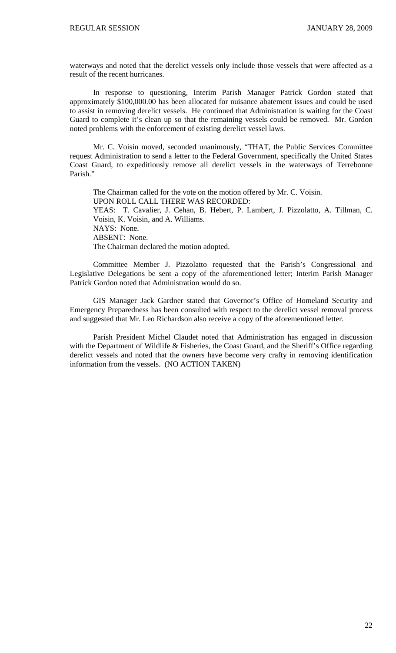waterways and noted that the derelict vessels only include those vessels that were affected as a result of the recent hurricanes.

 In response to questioning, Interim Parish Manager Patrick Gordon stated that approximately \$100,000.00 has been allocated for nuisance abatement issues and could be used to assist in removing derelict vessels. He continued that Administration is waiting for the Coast Guard to complete it's clean up so that the remaining vessels could be removed. Mr. Gordon noted problems with the enforcement of existing derelict vessel laws.

 Mr. C. Voisin moved, seconded unanimously, "THAT, the Public Services Committee request Administration to send a letter to the Federal Government, specifically the United States Coast Guard, to expeditiously remove all derelict vessels in the waterways of Terrebonne Parish."

 The Chairman called for the vote on the motion offered by Mr. C. Voisin. UPON ROLL CALL THERE WAS RECORDED: YEAS: T. Cavalier, J. Cehan, B. Hebert, P. Lambert, J. Pizzolatto, A. Tillman, C. Voisin, K. Voisin, and A. Williams. NAYS: None. ABSENT: None. The Chairman declared the motion adopted.

 Committee Member J. Pizzolatto requested that the Parish's Congressional and Legislative Delegations be sent a copy of the aforementioned letter; Interim Parish Manager Patrick Gordon noted that Administration would do so.

GIS Manager Jack Gardner stated that Governor's Office of Homeland Security and Emergency Preparedness has been consulted with respect to the derelict vessel removal process and suggested that Mr. Leo Richardson also receive a copy of the aforementioned letter.

Parish President Michel Claudet noted that Administration has engaged in discussion with the Department of Wildlife & Fisheries, the Coast Guard, and the Sheriff's Office regarding derelict vessels and noted that the owners have become very crafty in removing identification information from the vessels. (NO ACTION TAKEN)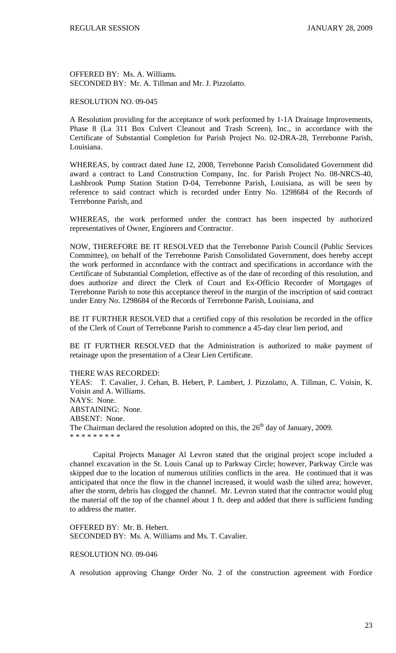OFFERED BY: Ms. A. Williams. SECONDED BY: Mr. A. Tillman and Mr. J. Pizzolatto.

# RESOLUTION NO. 09-045

A Resolution providing for the acceptance of work performed by 1-1A Drainage Improvements, Phase 8 (La 311 Box Culvert Cleanout and Trash Screen), Inc., in accordance with the Certificate of Substantial Completion for Parish Project No. 02-DRA-28, Terrebonne Parish, Louisiana.

WHEREAS, by contract dated June 12, 2008, Terrebonne Parish Consolidated Government did award a contract to Land Construction Company, Inc. for Parish Project No. 08-NRCS-40, Lashbrook Pump Station Station D-04, Terrebonne Parish, Louisiana, as will be seen by reference to said contract which is recorded under Entry No. 1298684 of the Records of Terrebonne Parish, and

WHEREAS, the work performed under the contract has been inspected by authorized representatives of Owner, Engineers and Contractor.

NOW, THEREFORE BE IT RESOLVED that the Terrebonne Parish Council (Public Services Committee), on behalf of the Terrebonne Parish Consolidated Government, does hereby accept the work performed in accordance with the contract and specifications in accordance with the Certificate of Substantial Completion, effective as of the date of recording of this resolution, and does authorize and direct the Clerk of Court and Ex-Officio Recorder of Mortgages of Terrebonne Parish to note this acceptance thereof in the margin of the inscription of said contract under Entry No. 1298684 of the Records of Terrebonne Parish, Louisiana, and

BE IT FURTHER RESOLVED that a certified copy of this resolution be recorded in the office of the Clerk of Court of Terrebonne Parish to commence a 45-day clear lien period, and

BE IT FURTHER RESOLVED that the Administration is authorized to make payment of retainage upon the presentation of a Clear Lien Certificate.

THERE WAS RECORDED:

YEAS: T. Cavalier, J. Cehan, B. Hebert, P. Lambert, J. Pizzolatto, A. Tillman, C. Voisin, K. Voisin and A. Williams. NAYS: None. ABSTAINING: None. ABSENT: None. The Chairman declared the resolution adopted on this, the  $26<sup>th</sup>$  day of January, 2009. \* \* \* \* \* \* \* \* \*

 Capital Projects Manager Al Levron stated that the original project scope included a channel excavation in the St. Louis Canal up to Parkway Circle; however, Parkway Circle was skipped due to the location of numerous utilities conflicts in the area. He continued that it was anticipated that once the flow in the channel increased, it would wash the silted area; however, after the storm, debris has clogged the channel. Mr. Levron stated that the contractor would plug the material off the top of the channel about 1 ft. deep and added that there is sufficient funding to address the matter.

OFFERED BY: Mr. B. Hebert. SECONDED BY: Ms. A. Williams and Ms. T. Cavalier.

### RESOLUTION NO. 09-046

A resolution approving Change Order No. 2 of the construction agreement with Fordice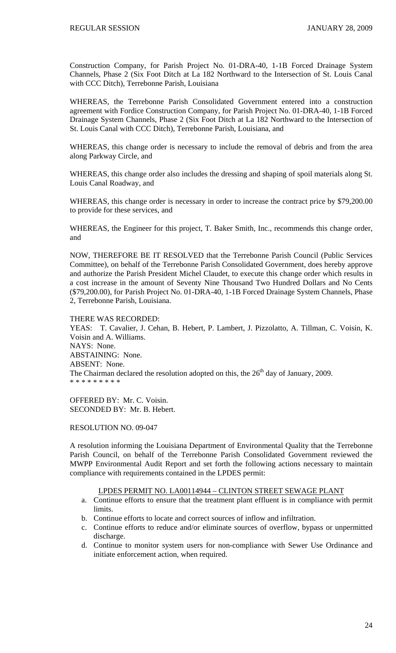Construction Company, for Parish Project No. 01-DRA-40, 1-1B Forced Drainage System Channels, Phase 2 (Six Foot Ditch at La 182 Northward to the Intersection of St. Louis Canal with CCC Ditch), Terrebonne Parish, Louisiana

WHEREAS, the Terrebonne Parish Consolidated Government entered into a construction agreement with Fordice Construction Company, for Parish Project No. 01-DRA-40, 1-1B Forced Drainage System Channels, Phase 2 (Six Foot Ditch at La 182 Northward to the Intersection of St. Louis Canal with CCC Ditch), Terrebonne Parish, Louisiana, and

WHEREAS, this change order is necessary to include the removal of debris and from the area along Parkway Circle, and

WHEREAS, this change order also includes the dressing and shaping of spoil materials along St. Louis Canal Roadway, and

WHEREAS, this change order is necessary in order to increase the contract price by \$79,200.00 to provide for these services, and

WHEREAS, the Engineer for this project, T. Baker Smith, Inc., recommends this change order, and

NOW, THEREFORE BE IT RESOLVED that the Terrebonne Parish Council (Public Services Committee), on behalf of the Terrebonne Parish Consolidated Government, does hereby approve and authorize the Parish President Michel Claudet, to execute this change order which results in a cost increase in the amount of Seventy Nine Thousand Two Hundred Dollars and No Cents (\$79,200.00), for Parish Project No. 01-DRA-40, 1-1B Forced Drainage System Channels, Phase 2, Terrebonne Parish, Louisiana.

THERE WAS RECORDED:

YEAS: T. Cavalier, J. Cehan, B. Hebert, P. Lambert, J. Pizzolatto, A. Tillman, C. Voisin, K. Voisin and A. Williams. NAYS: None. ABSTAINING: None. ABSENT: None. The Chairman declared the resolution adopted on this, the  $26<sup>th</sup>$  day of January, 2009. \* \* \* \* \* \* \* \* \*

OFFERED BY: Mr. C. Voisin. SECONDED BY: Mr. B. Hebert.

RESOLUTION NO. 09-047

A resolution informing the Louisiana Department of Environmental Quality that the Terrebonne Parish Council, on behalf of the Terrebonne Parish Consolidated Government reviewed the MWPP Environmental Audit Report and set forth the following actions necessary to maintain compliance with requirements contained in the LPDES permit:

### LPDES PERMIT NO. LA00114944 – CLINTON STREET SEWAGE PLANT

- a. Continue efforts to ensure that the treatment plant effluent is in compliance with permit limits.
- b. Continue efforts to locate and correct sources of inflow and infiltration.
- c. Continue efforts to reduce and/or eliminate sources of overflow, bypass or unpermitted discharge.
- d. Continue to monitor system users for non-compliance with Sewer Use Ordinance and initiate enforcement action, when required.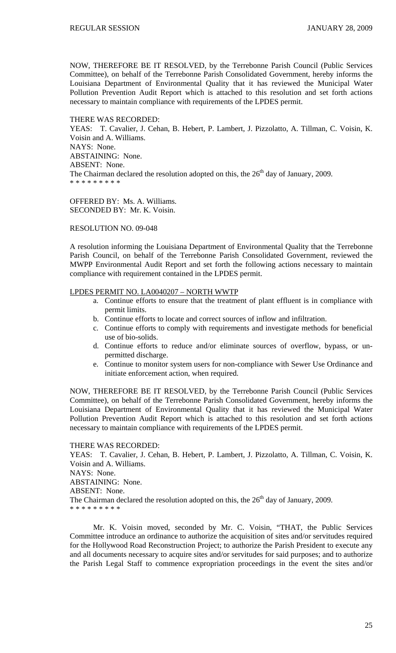NOW, THEREFORE BE IT RESOLVED, by the Terrebonne Parish Council (Public Services Committee), on behalf of the Terrebonne Parish Consolidated Government, hereby informs the Louisiana Department of Environmental Quality that it has reviewed the Municipal Water Pollution Prevention Audit Report which is attached to this resolution and set forth actions necessary to maintain compliance with requirements of the LPDES permit.

#### THERE WAS RECORDED:

YEAS: T. Cavalier, J. Cehan, B. Hebert, P. Lambert, J. Pizzolatto, A. Tillman, C. Voisin, K. Voisin and A. Williams. NAYS: None. ABSTAINING: None. ABSENT: None. The Chairman declared the resolution adopted on this, the  $26<sup>th</sup>$  day of January, 2009. \* \* \* \* \* \* \* \* \*

OFFERED BY: Ms. A. Williams. SECONDED BY: Mr. K. Voisin.

## RESOLUTION NO. 09-048

A resolution informing the Louisiana Department of Environmental Quality that the Terrebonne Parish Council, on behalf of the Terrebonne Parish Consolidated Government, reviewed the MWPP Environmental Audit Report and set forth the following actions necessary to maintain compliance with requirement contained in the LPDES permit.

## LPDES PERMIT NO. LA0040207 – NORTH WWTP

- a. Continue efforts to ensure that the treatment of plant effluent is in compliance with permit limits.
- b. Continue efforts to locate and correct sources of inflow and infiltration.
- c. Continue efforts to comply with requirements and investigate methods for beneficial use of bio-solids.
- d. Continue efforts to reduce and/or eliminate sources of overflow, bypass, or unpermitted discharge.
- e. Continue to monitor system users for non-compliance with Sewer Use Ordinance and initiate enforcement action, when required.

NOW, THEREFORE BE IT RESOLVED, by the Terrebonne Parish Council (Public Services Committee), on behalf of the Terrebonne Parish Consolidated Government, hereby informs the Louisiana Department of Environmental Quality that it has reviewed the Municipal Water Pollution Prevention Audit Report which is attached to this resolution and set forth actions necessary to maintain compliance with requirements of the LPDES permit.

#### THERE WAS RECORDED:

YEAS: T. Cavalier, J. Cehan, B. Hebert, P. Lambert, J. Pizzolatto, A. Tillman, C. Voisin, K. Voisin and A. Williams. NAYS: None. ABSTAINING: None. ABSENT: None. The Chairman declared the resolution adopted on this, the  $26<sup>th</sup>$  day of January, 2009. \* \* \* \* \* \* \* \* \*

 Mr. K. Voisin moved, seconded by Mr. C. Voisin, "THAT, the Public Services Committee introduce an ordinance to authorize the acquisition of sites and/or servitudes required for the Hollywood Road Reconstruction Project; to authorize the Parish President to execute any and all documents necessary to acquire sites and/or servitudes for said purposes; and to authorize the Parish Legal Staff to commence expropriation proceedings in the event the sites and/or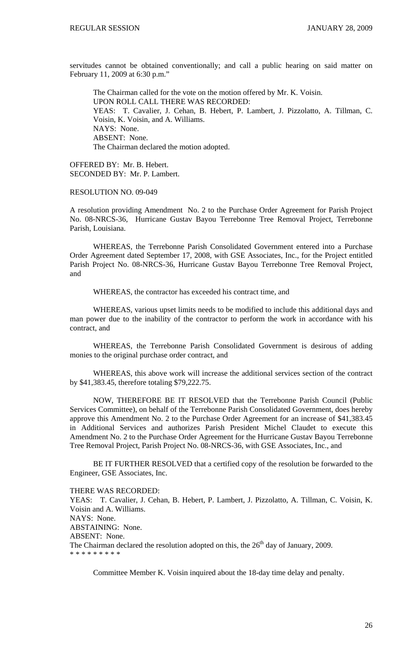servitudes cannot be obtained conventionally; and call a public hearing on said matter on February 11, 2009 at 6:30 p.m."

 The Chairman called for the vote on the motion offered by Mr. K. Voisin. UPON ROLL CALL THERE WAS RECORDED: YEAS: T. Cavalier, J. Cehan, B. Hebert, P. Lambert, J. Pizzolatto, A. Tillman, C. Voisin, K. Voisin, and A. Williams. NAYS: None. ABSENT: None. The Chairman declared the motion adopted.

OFFERED BY: Mr. B. Hebert. SECONDED BY: Mr. P. Lambert.

RESOLUTION NO. 09-049

A resolution providing Amendment No. 2 to the Purchase Order Agreement for Parish Project No. 08-NRCS-36, Hurricane Gustav Bayou Terrebonne Tree Removal Project, Terrebonne Parish, Louisiana.

WHEREAS, the Terrebonne Parish Consolidated Government entered into a Purchase Order Agreement dated September 17, 2008, with GSE Associates, Inc., for the Project entitled Parish Project No. 08-NRCS-36, Hurricane Gustav Bayou Terrebonne Tree Removal Project, and

WHEREAS, the contractor has exceeded his contract time, and

WHEREAS, various upset limits needs to be modified to include this additional days and man power due to the inability of the contractor to perform the work in accordance with his contract, and

WHEREAS, the Terrebonne Parish Consolidated Government is desirous of adding monies to the original purchase order contract, and

WHEREAS, this above work will increase the additional services section of the contract by \$41,383.45, therefore totaling \$79,222.75.

NOW, THEREFORE BE IT RESOLVED that the Terrebonne Parish Council (Public Services Committee), on behalf of the Terrebonne Parish Consolidated Government, does hereby approve this Amendment No. 2 to the Purchase Order Agreement for an increase of \$41,383.45 in Additional Services and authorizes Parish President Michel Claudet to execute this Amendment No. 2 to the Purchase Order Agreement for the Hurricane Gustav Bayou Terrebonne Tree Removal Project, Parish Project No. 08-NRCS-36, with GSE Associates, Inc., and

BE IT FURTHER RESOLVED that a certified copy of the resolution be forwarded to the Engineer, GSE Associates, Inc.

#### THERE WAS RECORDED:

YEAS: T. Cavalier, J. Cehan, B. Hebert, P. Lambert, J. Pizzolatto, A. Tillman, C. Voisin, K. Voisin and A. Williams. NAYS: None. ABSTAINING: None. ABSENT: None. The Chairman declared the resolution adopted on this, the  $26<sup>th</sup>$  day of January, 2009. \* \* \* \* \* \* \* \* \*

Committee Member K. Voisin inquired about the 18-day time delay and penalty.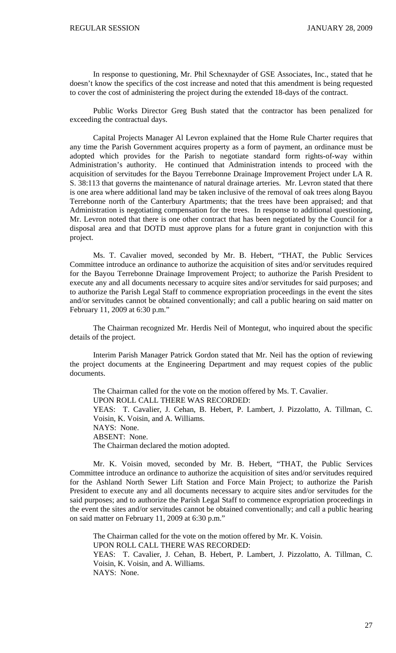In response to questioning, Mr. Phil Schexnayder of GSE Associates, Inc., stated that he doesn't know the specifics of the cost increase and noted that this amendment is being requested to cover the cost of administering the project during the extended 18-days of the contract.

 Public Works Director Greg Bush stated that the contractor has been penalized for exceeding the contractual days.

Capital Projects Manager Al Levron explained that the Home Rule Charter requires that any time the Parish Government acquires property as a form of payment, an ordinance must be adopted which provides for the Parish to negotiate standard form rights-of-way within Administration's authority. He continued that Administration intends to proceed with the acquisition of servitudes for the Bayou Terrebonne Drainage Improvement Project under LA R. S. 38:113 that governs the maintenance of natural drainage arteries. Mr. Levron stated that there is one area where additional land may be taken inclusive of the removal of oak trees along Bayou Terrebonne north of the Canterbury Apartments; that the trees have been appraised; and that Administration is negotiating compensation for the trees. In response to additional questioning, Mr. Levron noted that there is one other contract that has been negotiated by the Council for a disposal area and that DOTD must approve plans for a future grant in conjunction with this project.

 Ms. T. Cavalier moved, seconded by Mr. B. Hebert, "THAT, the Public Services Committee introduce an ordinance to authorize the acquisition of sites and/or servitudes required for the Bayou Terrebonne Drainage Improvement Project; to authorize the Parish President to execute any and all documents necessary to acquire sites and/or servitudes for said purposes; and to authorize the Parish Legal Staff to commence expropriation proceedings in the event the sites and/or servitudes cannot be obtained conventionally; and call a public hearing on said matter on February 11, 2009 at 6:30 p.m."

 The Chairman recognized Mr. Herdis Neil of Montegut, who inquired about the specific details of the project.

 Interim Parish Manager Patrick Gordon stated that Mr. Neil has the option of reviewing the project documents at the Engineering Department and may request copies of the public documents.

 The Chairman called for the vote on the motion offered by Ms. T. Cavalier. UPON ROLL CALL THERE WAS RECORDED: YEAS: T. Cavalier, J. Cehan, B. Hebert, P. Lambert, J. Pizzolatto, A. Tillman, C. Voisin, K. Voisin, and A. Williams. NAYS: None. ABSENT: None. The Chairman declared the motion adopted.

 Mr. K. Voisin moved, seconded by Mr. B. Hebert, "THAT, the Public Services Committee introduce an ordinance to authorize the acquisition of sites and/or servitudes required for the Ashland North Sewer Lift Station and Force Main Project; to authorize the Parish President to execute any and all documents necessary to acquire sites and/or servitudes for the said purposes; and to authorize the Parish Legal Staff to commence expropriation proceedings in the event the sites and/or servitudes cannot be obtained conventionally; and call a public hearing on said matter on February 11, 2009 at 6:30 p.m."

The Chairman called for the vote on the motion offered by Mr. K. Voisin. UPON ROLL CALL THERE WAS RECORDED: YEAS: T. Cavalier, J. Cehan, B. Hebert, P. Lambert, J. Pizzolatto, A. Tillman, C. Voisin, K. Voisin, and A. Williams. NAYS: None.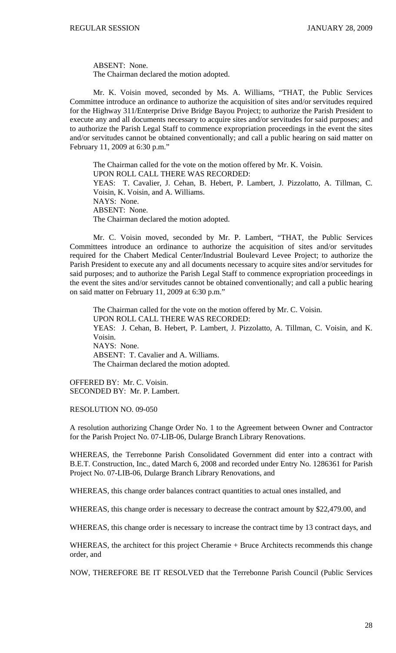ABSENT: None. The Chairman declared the motion adopted.

 Mr. K. Voisin moved, seconded by Ms. A. Williams, "THAT, the Public Services Committee introduce an ordinance to authorize the acquisition of sites and/or servitudes required for the Highway 311/Enterprise Drive Bridge Bayou Project; to authorize the Parish President to execute any and all documents necessary to acquire sites and/or servitudes for said purposes; and to authorize the Parish Legal Staff to commence expropriation proceedings in the event the sites and/or servitudes cannot be obtained conventionally; and call a public hearing on said matter on February 11, 2009 at 6:30 p.m."

The Chairman called for the vote on the motion offered by Mr. K. Voisin. UPON ROLL CALL THERE WAS RECORDED: YEAS: T. Cavalier, J. Cehan, B. Hebert, P. Lambert, J. Pizzolatto, A. Tillman, C. Voisin, K. Voisin, and A. Williams. NAYS: None. ABSENT: None. The Chairman declared the motion adopted.

 Mr. C. Voisin moved, seconded by Mr. P. Lambert, "THAT, the Public Services Committees introduce an ordinance to authorize the acquisition of sites and/or servitudes required for the Chabert Medical Center/Industrial Boulevard Levee Project; to authorize the Parish President to execute any and all documents necessary to acquire sites and/or servitudes for said purposes; and to authorize the Parish Legal Staff to commence expropriation proceedings in the event the sites and/or servitudes cannot be obtained conventionally; and call a public hearing on said matter on February 11, 2009 at 6:30 p.m."

The Chairman called for the vote on the motion offered by Mr. C. Voisin. UPON ROLL CALL THERE WAS RECORDED: YEAS: J. Cehan, B. Hebert, P. Lambert, J. Pizzolatto, A. Tillman, C. Voisin, and K. Voisin. NAYS: None. ABSENT: T. Cavalier and A. Williams. The Chairman declared the motion adopted.

OFFERED BY: Mr. C. Voisin. SECONDED BY: Mr. P. Lambert.

RESOLUTION NO. 09-050

A resolution authorizing Change Order No. 1 to the Agreement between Owner and Contractor for the Parish Project No. 07-LIB-06, Dularge Branch Library Renovations.

WHEREAS, the Terrebonne Parish Consolidated Government did enter into a contract with B.E.T. Construction, Inc., dated March 6, 2008 and recorded under Entry No. 1286361 for Parish Project No. 07-LIB-06, Dularge Branch Library Renovations, and

WHEREAS, this change order balances contract quantities to actual ones installed, and

WHEREAS, this change order is necessary to decrease the contract amount by \$22,479.00, and

WHEREAS, this change order is necessary to increase the contract time by 13 contract days, and

WHEREAS, the architect for this project Cheramie + Bruce Architects recommends this change order, and

NOW, THEREFORE BE IT RESOLVED that the Terrebonne Parish Council (Public Services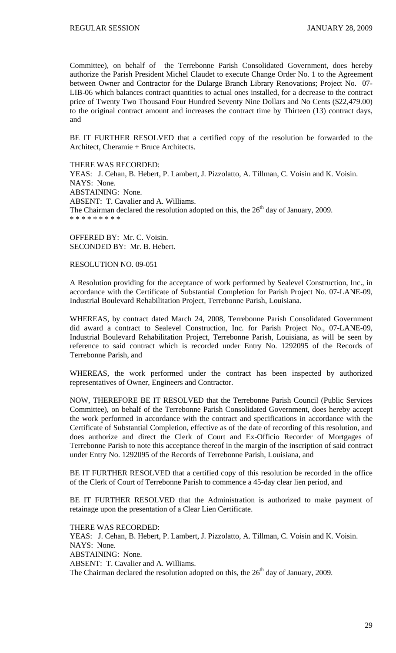Committee), on behalf of the Terrebonne Parish Consolidated Government, does hereby authorize the Parish President Michel Claudet to execute Change Order No. 1 to the Agreement between Owner and Contractor for the Dularge Branch Library Renovations; Project No. 07- LIB-06 which balances contract quantities to actual ones installed, for a decrease to the contract price of Twenty Two Thousand Four Hundred Seventy Nine Dollars and No Cents (\$22,479.00) to the original contract amount and increases the contract time by Thirteen (13) contract days, and

BE IT FURTHER RESOLVED that a certified copy of the resolution be forwarded to the Architect, Cheramie + Bruce Architects.

THERE WAS RECORDED: YEAS: J. Cehan, B. Hebert, P. Lambert, J. Pizzolatto, A. Tillman, C. Voisin and K. Voisin. NAYS: None. ABSTAINING: None. ABSENT: T. Cavalier and A. Williams. The Chairman declared the resolution adopted on this, the  $26<sup>th</sup>$  day of January, 2009. \* \* \* \* \* \* \* \* \*

OFFERED BY: Mr. C. Voisin. SECONDED BY: Mr. B. Hebert.

RESOLUTION NO. 09-051

A Resolution providing for the acceptance of work performed by Sealevel Construction, Inc., in accordance with the Certificate of Substantial Completion for Parish Project No. 07-LANE-09, Industrial Boulevard Rehabilitation Project, Terrebonne Parish, Louisiana.

WHEREAS, by contract dated March 24, 2008, Terrebonne Parish Consolidated Government did award a contract to Sealevel Construction, Inc. for Parish Project No., 07-LANE-09, Industrial Boulevard Rehabilitation Project, Terrebonne Parish, Louisiana, as will be seen by reference to said contract which is recorded under Entry No. 1292095 of the Records of Terrebonne Parish, and

WHEREAS, the work performed under the contract has been inspected by authorized representatives of Owner, Engineers and Contractor.

NOW, THEREFORE BE IT RESOLVED that the Terrebonne Parish Council (Public Services Committee), on behalf of the Terrebonne Parish Consolidated Government, does hereby accept the work performed in accordance with the contract and specifications in accordance with the Certificate of Substantial Completion, effective as of the date of recording of this resolution, and does authorize and direct the Clerk of Court and Ex-Officio Recorder of Mortgages of Terrebonne Parish to note this acceptance thereof in the margin of the inscription of said contract under Entry No. 1292095 of the Records of Terrebonne Parish, Louisiana, and

BE IT FURTHER RESOLVED that a certified copy of this resolution be recorded in the office of the Clerk of Court of Terrebonne Parish to commence a 45-day clear lien period, and

BE IT FURTHER RESOLVED that the Administration is authorized to make payment of retainage upon the presentation of a Clear Lien Certificate.

THERE WAS RECORDED: YEAS: J. Cehan, B. Hebert, P. Lambert, J. Pizzolatto, A. Tillman, C. Voisin and K. Voisin. NAYS: None. ABSTAINING: None. ABSENT: T. Cavalier and A. Williams. The Chairman declared the resolution adopted on this, the  $26<sup>th</sup>$  day of January, 2009.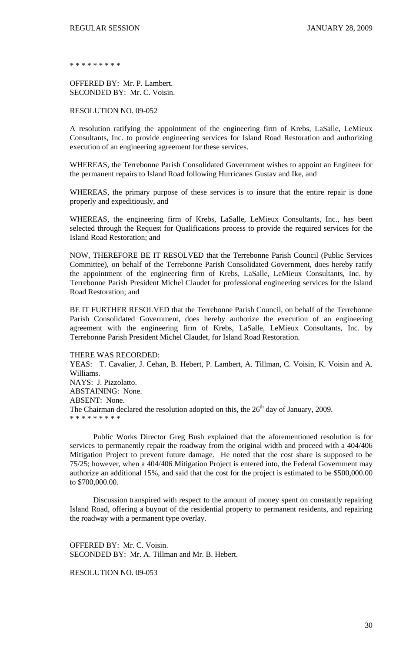\* \* \* \* \* \* \* \* \*

OFFERED BY: Mr. P. Lambert. SECONDED BY: Mr. C. Voisin.

RESOLUTION NO. 09-052

A resolution ratifying the appointment of the engineering firm of Krebs, LaSalle, LeMieux Consultants, Inc. to provide engineering services for Island Road Restoration and authorizing execution of an engineering agreement for these services.

WHEREAS, the Terrebonne Parish Consolidated Government wishes to appoint an Engineer for the permanent repairs to Island Road following Hurricanes Gustav and Ike, and

WHEREAS, the primary purpose of these services is to insure that the entire repair is done properly and expeditiously, and

WHEREAS, the engineering firm of Krebs, LaSalle, LeMieux Consultants, Inc., has been selected through the Request for Qualifications process to provide the required services for the Island Road Restoration; and

NOW, THEREFORE BE IT RESOLVED that the Terrebonne Parish Council (Public Services Committee), on behalf of the Terrebonne Parish Consolidated Government, does hereby ratify the appointment of the engineering firm of Krebs, LaSalle, LeMieux Consultants, Inc. by Terrebonne Parish President Michel Claudet for professional engineering services for the Island Road Restoration; and

BE IT FURTHER RESOLVED that the Terrebonne Parish Council, on behalf of the Terrebonne Parish Consolidated Government, does hereby authorize the execution of an engineering agreement with the engineering firm of Krebs, LaSalle, LeMieux Consultants, Inc. by Terrebonne Parish President Michel Claudet, for Island Road Restoration.

THERE WAS RECORDED:

YEAS: T. Cavalier, J. Cehan, B. Hebert, P. Lambert, A. Tillman, C. Voisin, K. Voisin and A. Williams. NAYS: J. Pizzolatto. ABSTAINING: None. ABSENT: None. The Chairman declared the resolution adopted on this, the  $26<sup>th</sup>$  day of January, 2009. \* \* \* \* \* \* \* \* \*

 Public Works Director Greg Bush explained that the aforementioned resolution is for services to permanently repair the roadway from the original width and proceed with a 404/406 Mitigation Project to prevent future damage. He noted that the cost share is supposed to be 75/25; however, when a 404/406 Mitigation Project is entered into, the Federal Government may authorize an additional 15%, and said that the cost for the project is estimated to be \$500,000.00 to \$700,000.00.

 Discussion transpired with respect to the amount of money spent on constantly repairing Island Road, offering a buyout of the residential property to permanent residents, and repairing the roadway with a permanent type overlay.

OFFERED BY: Mr. C. Voisin. SECONDED BY: Mr. A. Tillman and Mr. B. Hebert.

RESOLUTION NO. 09-053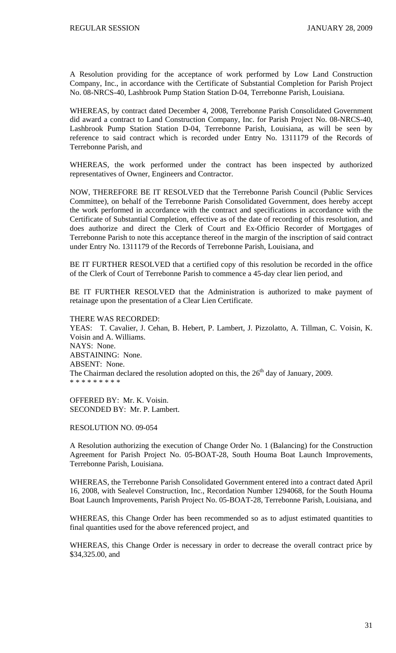A Resolution providing for the acceptance of work performed by Low Land Construction Company, Inc., in accordance with the Certificate of Substantial Completion for Parish Project No. 08-NRCS-40, Lashbrook Pump Station Station D-04, Terrebonne Parish, Louisiana.

WHEREAS, by contract dated December 4, 2008, Terrebonne Parish Consolidated Government did award a contract to Land Construction Company, Inc. for Parish Project No. 08-NRCS-40, Lashbrook Pump Station Station D-04, Terrebonne Parish, Louisiana, as will be seen by reference to said contract which is recorded under Entry No. 1311179 of the Records of Terrebonne Parish, and

WHEREAS, the work performed under the contract has been inspected by authorized representatives of Owner, Engineers and Contractor.

NOW, THEREFORE BE IT RESOLVED that the Terrebonne Parish Council (Public Services Committee), on behalf of the Terrebonne Parish Consolidated Government, does hereby accept the work performed in accordance with the contract and specifications in accordance with the Certificate of Substantial Completion, effective as of the date of recording of this resolution, and does authorize and direct the Clerk of Court and Ex-Officio Recorder of Mortgages of Terrebonne Parish to note this acceptance thereof in the margin of the inscription of said contract under Entry No. 1311179 of the Records of Terrebonne Parish, Louisiana, and

BE IT FURTHER RESOLVED that a certified copy of this resolution be recorded in the office of the Clerk of Court of Terrebonne Parish to commence a 45-day clear lien period, and

BE IT FURTHER RESOLVED that the Administration is authorized to make payment of retainage upon the presentation of a Clear Lien Certificate.

THERE WAS RECORDED: YEAS: T. Cavalier, J. Cehan, B. Hebert, P. Lambert, J. Pizzolatto, A. Tillman, C. Voisin, K. Voisin and A. Williams. NAYS: None. ABSTAINING: None. ABSENT: None. The Chairman declared the resolution adopted on this, the  $26<sup>th</sup>$  day of January, 2009. \* \* \* \* \* \* \* \* \*

OFFERED BY: Mr. K. Voisin. SECONDED BY: Mr. P. Lambert.

RESOLUTION NO. 09-054

A Resolution authorizing the execution of Change Order No. 1 (Balancing) for the Construction Agreement for Parish Project No. 05-BOAT-28, South Houma Boat Launch Improvements, Terrebonne Parish, Louisiana.

WHEREAS, the Terrebonne Parish Consolidated Government entered into a contract dated April 16, 2008, with Sealevel Construction, Inc., Recordation Number 1294068, for the South Houma Boat Launch Improvements, Parish Project No. 05-BOAT-28, Terrebonne Parish, Louisiana, and

WHEREAS, this Change Order has been recommended so as to adjust estimated quantities to final quantities used for the above referenced project, and

WHEREAS, this Change Order is necessary in order to decrease the overall contract price by \$34,325.00, and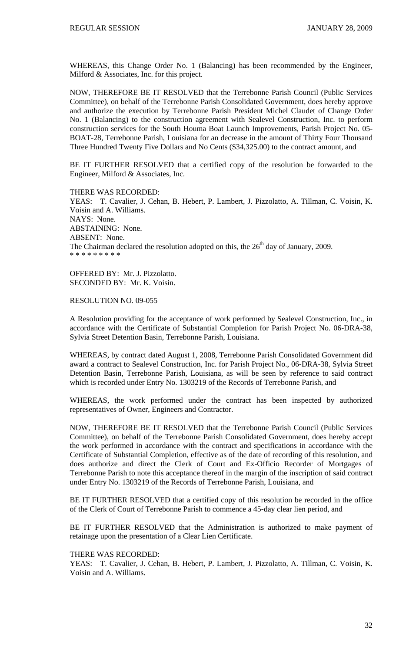WHEREAS, this Change Order No. 1 (Balancing) has been recommended by the Engineer, Milford & Associates, Inc. for this project.

NOW, THEREFORE BE IT RESOLVED that the Terrebonne Parish Council (Public Services Committee), on behalf of the Terrebonne Parish Consolidated Government, does hereby approve and authorize the execution by Terrebonne Parish President Michel Claudet of Change Order No. 1 (Balancing) to the construction agreement with Sealevel Construction, Inc. to perform construction services for the South Houma Boat Launch Improvements, Parish Project No. 05- BOAT-28, Terrebonne Parish, Louisiana for an decrease in the amount of Thirty Four Thousand Three Hundred Twenty Five Dollars and No Cents (\$34,325.00) to the contract amount, and

BE IT FURTHER RESOLVED that a certified copy of the resolution be forwarded to the Engineer, Milford & Associates, Inc.

THERE WAS RECORDED: YEAS: T. Cavalier, J. Cehan, B. Hebert, P. Lambert, J. Pizzolatto, A. Tillman, C. Voisin, K. Voisin and A. Williams. NAYS: None. ABSTAINING: None. ABSENT: None. The Chairman declared the resolution adopted on this, the  $26<sup>th</sup>$  day of January, 2009. \* \* \* \* \* \* \* \* \*

OFFERED BY: Mr. J. Pizzolatto. SECONDED BY: Mr. K. Voisin.

### RESOLUTION NO. 09-055

A Resolution providing for the acceptance of work performed by Sealevel Construction, Inc., in accordance with the Certificate of Substantial Completion for Parish Project No. 06-DRA-38, Sylvia Street Detention Basin, Terrebonne Parish, Louisiana.

WHEREAS, by contract dated August 1, 2008, Terrebonne Parish Consolidated Government did award a contract to Sealevel Construction, Inc. for Parish Project No., 06-DRA-38, Sylvia Street Detention Basin, Terrebonne Parish, Louisiana, as will be seen by reference to said contract which is recorded under Entry No. 1303219 of the Records of Terrebonne Parish, and

WHEREAS, the work performed under the contract has been inspected by authorized representatives of Owner, Engineers and Contractor.

NOW, THEREFORE BE IT RESOLVED that the Terrebonne Parish Council (Public Services Committee), on behalf of the Terrebonne Parish Consolidated Government, does hereby accept the work performed in accordance with the contract and specifications in accordance with the Certificate of Substantial Completion, effective as of the date of recording of this resolution, and does authorize and direct the Clerk of Court and Ex-Officio Recorder of Mortgages of Terrebonne Parish to note this acceptance thereof in the margin of the inscription of said contract under Entry No. 1303219 of the Records of Terrebonne Parish, Louisiana, and

BE IT FURTHER RESOLVED that a certified copy of this resolution be recorded in the office of the Clerk of Court of Terrebonne Parish to commence a 45-day clear lien period, and

BE IT FURTHER RESOLVED that the Administration is authorized to make payment of retainage upon the presentation of a Clear Lien Certificate.

#### THERE WAS RECORDED:

YEAS: T. Cavalier, J. Cehan, B. Hebert, P. Lambert, J. Pizzolatto, A. Tillman, C. Voisin, K. Voisin and A. Williams.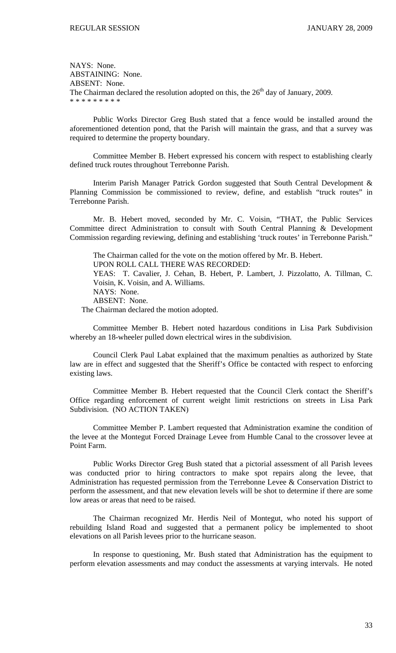NAYS: None. ABSTAINING: None. ABSENT: None. The Chairman declared the resolution adopted on this, the  $26<sup>th</sup>$  day of January, 2009. \* \* \* \* \* \* \* \* \*

 Public Works Director Greg Bush stated that a fence would be installed around the aforementioned detention pond, that the Parish will maintain the grass, and that a survey was required to determine the property boundary.

 Committee Member B. Hebert expressed his concern with respect to establishing clearly defined truck routes throughout Terrebonne Parish.

 Interim Parish Manager Patrick Gordon suggested that South Central Development & Planning Commission be commissioned to review, define, and establish "truck routes" in Terrebonne Parish.

 Mr. B. Hebert moved, seconded by Mr. C. Voisin, "THAT, the Public Services Committee direct Administration to consult with South Central Planning & Development Commission regarding reviewing, defining and establishing 'truck routes' in Terrebonne Parish."

The Chairman called for the vote on the motion offered by Mr. B. Hebert. UPON ROLL CALL THERE WAS RECORDED: YEAS: T. Cavalier, J. Cehan, B. Hebert, P. Lambert, J. Pizzolatto, A. Tillman, C. Voisin, K. Voisin, and A. Williams. NAYS: None. ABSENT: None. The Chairman declared the motion adopted.

 Committee Member B. Hebert noted hazardous conditions in Lisa Park Subdivision whereby an 18-wheeler pulled down electrical wires in the subdivision.

 Council Clerk Paul Labat explained that the maximum penalties as authorized by State law are in effect and suggested that the Sheriff's Office be contacted with respect to enforcing existing laws.

 Committee Member B. Hebert requested that the Council Clerk contact the Sheriff's Office regarding enforcement of current weight limit restrictions on streets in Lisa Park Subdivision. (NO ACTION TAKEN)

 Committee Member P. Lambert requested that Administration examine the condition of the levee at the Montegut Forced Drainage Levee from Humble Canal to the crossover levee at Point Farm.

 Public Works Director Greg Bush stated that a pictorial assessment of all Parish levees was conducted prior to hiring contractors to make spot repairs along the levee, that Administration has requested permission from the Terrebonne Levee & Conservation District to perform the assessment, and that new elevation levels will be shot to determine if there are some low areas or areas that need to be raised.

 The Chairman recognized Mr. Herdis Neil of Montegut, who noted his support of rebuilding Island Road and suggested that a permanent policy be implemented to shoot elevations on all Parish levees prior to the hurricane season.

 In response to questioning, Mr. Bush stated that Administration has the equipment to perform elevation assessments and may conduct the assessments at varying intervals. He noted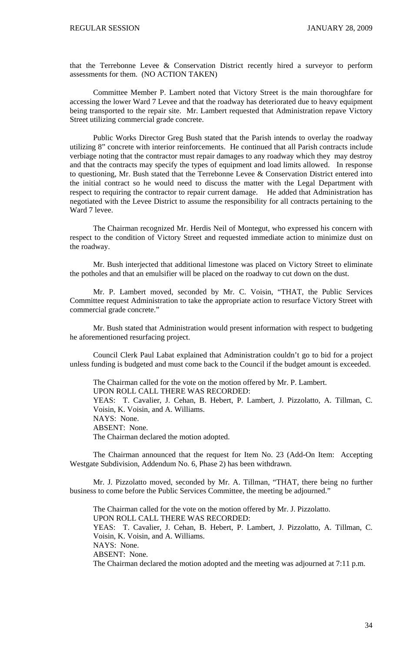that the Terrebonne Levee & Conservation District recently hired a surveyor to perform assessments for them. (NO ACTION TAKEN)

 Committee Member P. Lambert noted that Victory Street is the main thoroughfare for accessing the lower Ward 7 Levee and that the roadway has deteriorated due to heavy equipment being transported to the repair site. Mr. Lambert requested that Administration repave Victory Street utilizing commercial grade concrete.

 Public Works Director Greg Bush stated that the Parish intends to overlay the roadway utilizing 8" concrete with interior reinforcements. He continued that all Parish contracts include verbiage noting that the contractor must repair damages to any roadway which they may destroy and that the contracts may specify the types of equipment and load limits allowed. In response to questioning, Mr. Bush stated that the Terrebonne Levee & Conservation District entered into the initial contract so he would need to discuss the matter with the Legal Department with respect to requiring the contractor to repair current damage. He added that Administration has negotiated with the Levee District to assume the responsibility for all contracts pertaining to the Ward 7 levee.

 The Chairman recognized Mr. Herdis Neil of Montegut, who expressed his concern with respect to the condition of Victory Street and requested immediate action to minimize dust on the roadway.

 Mr. Bush interjected that additional limestone was placed on Victory Street to eliminate the potholes and that an emulsifier will be placed on the roadway to cut down on the dust.

 Mr. P. Lambert moved, seconded by Mr. C. Voisin, "THAT, the Public Services Committee request Administration to take the appropriate action to resurface Victory Street with commercial grade concrete."

 Mr. Bush stated that Administration would present information with respect to budgeting he aforementioned resurfacing project.

 Council Clerk Paul Labat explained that Administration couldn't go to bid for a project unless funding is budgeted and must come back to the Council if the budget amount is exceeded.

The Chairman called for the vote on the motion offered by Mr. P. Lambert.

UPON ROLL CALL THERE WAS RECORDED:

YEAS: T. Cavalier, J. Cehan, B. Hebert, P. Lambert, J. Pizzolatto, A. Tillman, C. Voisin, K. Voisin, and A. Williams.

NAYS: None.

ABSENT: None.

The Chairman declared the motion adopted.

 The Chairman announced that the request for Item No. 23 (Add-On Item: Accepting Westgate Subdivision, Addendum No. 6, Phase 2) has been withdrawn.

 Mr. J. Pizzolatto moved, seconded by Mr. A. Tillman, "THAT, there being no further business to come before the Public Services Committee, the meeting be adjourned."

 The Chairman called for the vote on the motion offered by Mr. J. Pizzolatto. UPON ROLL CALL THERE WAS RECORDED: YEAS: T. Cavalier, J. Cehan, B. Hebert, P. Lambert, J. Pizzolatto, A. Tillman, C. Voisin, K. Voisin, and A. Williams. NAYS: None. ABSENT: None. The Chairman declared the motion adopted and the meeting was adjourned at 7:11 p.m.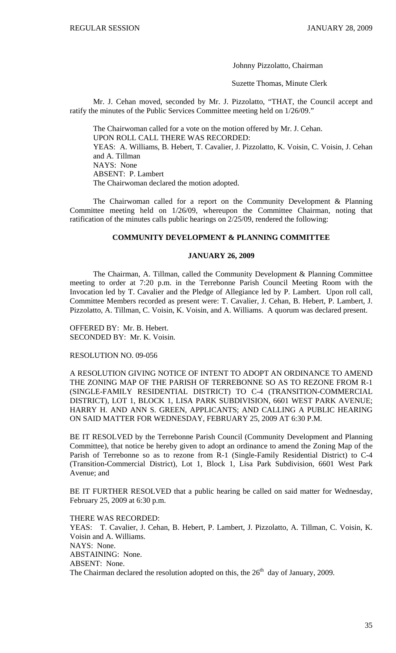Johnny Pizzolatto, Chairman

Suzette Thomas, Minute Clerk

 Mr. J. Cehan moved, seconded by Mr. J. Pizzolatto, "THAT, the Council accept and ratify the minutes of the Public Services Committee meeting held on 1/26/09."

The Chairwoman called for a vote on the motion offered by Mr. J. Cehan. UPON ROLL CALL THERE WAS RECORDED: YEAS: A. Williams, B. Hebert, T. Cavalier, J. Pizzolatto, K. Voisin, C. Voisin, J. Cehan and A. Tillman NAYS: None ABSENT: P. Lambert The Chairwoman declared the motion adopted.

 The Chairwoman called for a report on the Community Development & Planning Committee meeting held on 1/26/09, whereupon the Committee Chairman, noting that ratification of the minutes calls public hearings on 2/25/09, rendered the following:

### **COMMUNITY DEVELOPMENT & PLANNING COMMITTEE**

### **JANUARY 26, 2009**

 The Chairman, A. Tillman, called the Community Development & Planning Committee meeting to order at 7:20 p.m. in the Terrebonne Parish Council Meeting Room with the Invocation led by T. Cavalier and the Pledge of Allegiance led by P. Lambert. Upon roll call, Committee Members recorded as present were: T. Cavalier, J. Cehan, B. Hebert, P. Lambert, J. Pizzolatto, A. Tillman, C. Voisin, K. Voisin, and A. Williams. A quorum was declared present.

OFFERED BY: Mr. B. Hebert. SECONDED BY: Mr. K. Voisin.

# RESOLUTION NO. 09-056

A RESOLUTION GIVING NOTICE OF INTENT TO ADOPT AN ORDINANCE TO AMEND THE ZONING MAP OF THE PARISH OF TERREBONNE SO AS TO REZONE FROM R-1 (SINGLE-FAMILY RESIDENTIAL DISTRICT) TO C-4 (TRANSITION-COMMERCIAL DISTRICT), LOT 1, BLOCK 1, LISA PARK SUBDIVISION, 6601 WEST PARK AVENUE; HARRY H. AND ANN S. GREEN, APPLICANTS; AND CALLING A PUBLIC HEARING ON SAID MATTER FOR WEDNESDAY, FEBRUARY 25, 2009 AT 6:30 P.M.

BE IT RESOLVED by the Terrebonne Parish Council (Community Development and Planning Committee), that notice be hereby given to adopt an ordinance to amend the Zoning Map of the Parish of Terrebonne so as to rezone from R-1 (Single-Family Residential District) to C-4 (Transition-Commercial District), Lot 1, Block 1, Lisa Park Subdivision, 6601 West Park Avenue; and

BE IT FURTHER RESOLVED that a public hearing be called on said matter for Wednesday, February 25, 2009 at 6:30 p.m.

THERE WAS RECORDED: YEAS: T. Cavalier, J. Cehan, B. Hebert, P. Lambert, J. Pizzolatto, A. Tillman, C. Voisin, K. Voisin and A. Williams. NAYS: None. ABSTAINING: None. ABSENT: None. The Chairman declared the resolution adopted on this, the  $26<sup>th</sup>$  day of January, 2009.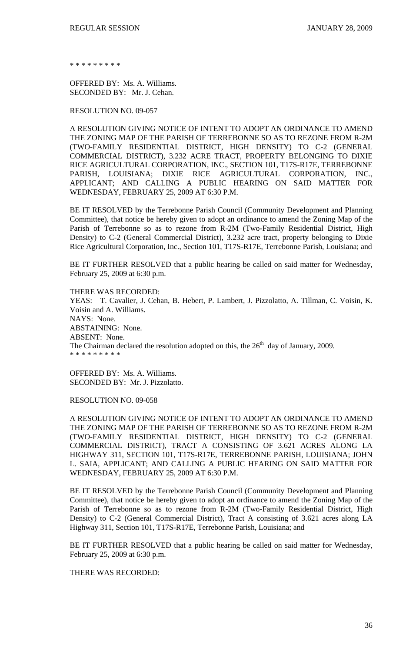\* \* \* \* \* \* \* \*

OFFERED BY: Ms. A. Williams. SECONDED BY: Mr. J. Cehan.

RESOLUTION NO. 09-057

A RESOLUTION GIVING NOTICE OF INTENT TO ADOPT AN ORDINANCE TO AMEND THE ZONING MAP OF THE PARISH OF TERREBONNE SO AS TO REZONE FROM R-2M (TWO-FAMILY RESIDENTIAL DISTRICT, HIGH DENSITY) TO C-2 (GENERAL COMMERCIAL DISTRICT), 3.232 ACRE TRACT, PROPERTY BELONGING TO DIXIE RICE AGRICULTURAL CORPORATION, INC., SECTION 101, T17S-R17E, TERREBONNE PARISH, LOUISIANA; DIXIE RICE AGRICULTURAL CORPORATION, INC., APPLICANT; AND CALLING A PUBLIC HEARING ON SAID MATTER FOR WEDNESDAY, FEBRUARY 25, 2009 AT 6:30 P.M.

BE IT RESOLVED by the Terrebonne Parish Council (Community Development and Planning Committee), that notice be hereby given to adopt an ordinance to amend the Zoning Map of the Parish of Terrebonne so as to rezone from R-2M (Two-Family Residential District, High Density) to C-2 (General Commercial District), 3.232 acre tract, property belonging to Dixie Rice Agricultural Corporation, Inc., Section 101, T17S-R17E, Terrebonne Parish, Louisiana; and

BE IT FURTHER RESOLVED that a public hearing be called on said matter for Wednesday, February 25, 2009 at 6:30 p.m.

THERE WAS RECORDED: YEAS: T. Cavalier, J. Cehan, B. Hebert, P. Lambert, J. Pizzolatto, A. Tillman, C. Voisin, K. Voisin and A. Williams. NAYS: None. ABSTAINING: None. ABSENT: None. The Chairman declared the resolution adopted on this, the  $26<sup>th</sup>$  day of January, 2009. \* \* \* \* \* \* \* \* \*

OFFERED BY: Ms. A. Williams. SECONDED BY: Mr. J. Pizzolatto.

RESOLUTION NO. 09-058

A RESOLUTION GIVING NOTICE OF INTENT TO ADOPT AN ORDINANCE TO AMEND THE ZONING MAP OF THE PARISH OF TERREBONNE SO AS TO REZONE FROM R-2M (TWO-FAMILY RESIDENTIAL DISTRICT, HIGH DENSITY) TO C-2 (GENERAL COMMERCIAL DISTRICT), TRACT A CONSISTING OF 3.621 ACRES ALONG LA HIGHWAY 311, SECTION 101, T17S-R17E, TERREBONNE PARISH, LOUISIANA; JOHN L. SAIA, APPLICANT; AND CALLING A PUBLIC HEARING ON SAID MATTER FOR WEDNESDAY, FEBRUARY 25, 2009 AT 6:30 P.M.

BE IT RESOLVED by the Terrebonne Parish Council (Community Development and Planning Committee), that notice be hereby given to adopt an ordinance to amend the Zoning Map of the Parish of Terrebonne so as to rezone from R-2M (Two-Family Residential District, High Density) to C-2 (General Commercial District), Tract A consisting of 3.621 acres along LA Highway 311, Section 101, T17S-R17E, Terrebonne Parish, Louisiana; and

BE IT FURTHER RESOLVED that a public hearing be called on said matter for Wednesday, February 25, 2009 at 6:30 p.m.

THERE WAS RECORDED: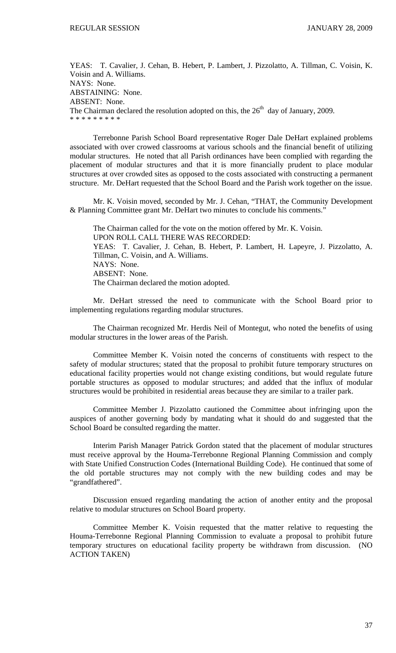YEAS: T. Cavalier, J. Cehan, B. Hebert, P. Lambert, J. Pizzolatto, A. Tillman, C. Voisin, K. Voisin and A. Williams. NAYS: None. ABSTAINING: None. ABSENT: None. The Chairman declared the resolution adopted on this, the  $26<sup>th</sup>$  day of January, 2009. \* \* \* \* \* \* \* \* \*

 Terrebonne Parish School Board representative Roger Dale DeHart explained problems associated with over crowed classrooms at various schools and the financial benefit of utilizing modular structures. He noted that all Parish ordinances have been complied with regarding the placement of modular structures and that it is more financially prudent to place modular structures at over crowded sites as opposed to the costs associated with constructing a permanent structure. Mr. DeHart requested that the School Board and the Parish work together on the issue.

 Mr. K. Voisin moved, seconded by Mr. J. Cehan, "THAT, the Community Development & Planning Committee grant Mr. DeHart two minutes to conclude his comments."

 The Chairman called for the vote on the motion offered by Mr. K. Voisin. UPON ROLL CALL THERE WAS RECORDED: YEAS: T. Cavalier, J. Cehan, B. Hebert, P. Lambert, H. Lapeyre, J. Pizzolatto, A. Tillman, C. Voisin, and A. Williams. NAYS: None. ABSENT: None. The Chairman declared the motion adopted.

 Mr. DeHart stressed the need to communicate with the School Board prior to implementing regulations regarding modular structures.

 The Chairman recognized Mr. Herdis Neil of Montegut, who noted the benefits of using modular structures in the lower areas of the Parish.

 Committee Member K. Voisin noted the concerns of constituents with respect to the safety of modular structures; stated that the proposal to prohibit future temporary structures on educational facility properties would not change existing conditions, but would regulate future portable structures as opposed to modular structures; and added that the influx of modular structures would be prohibited in residential areas because they are similar to a trailer park.

 Committee Member J. Pizzolatto cautioned the Committee about infringing upon the auspices of another governing body by mandating what it should do and suggested that the School Board be consulted regarding the matter.

 Interim Parish Manager Patrick Gordon stated that the placement of modular structures must receive approval by the Houma-Terrebonne Regional Planning Commission and comply with State Unified Construction Codes (International Building Code). He continued that some of the old portable structures may not comply with the new building codes and may be "grandfathered".

 Discussion ensued regarding mandating the action of another entity and the proposal relative to modular structures on School Board property.

 Committee Member K. Voisin requested that the matter relative to requesting the Houma-Terrebonne Regional Planning Commission to evaluate a proposal to prohibit future temporary structures on educational facility property be withdrawn from discussion. (NO ACTION TAKEN)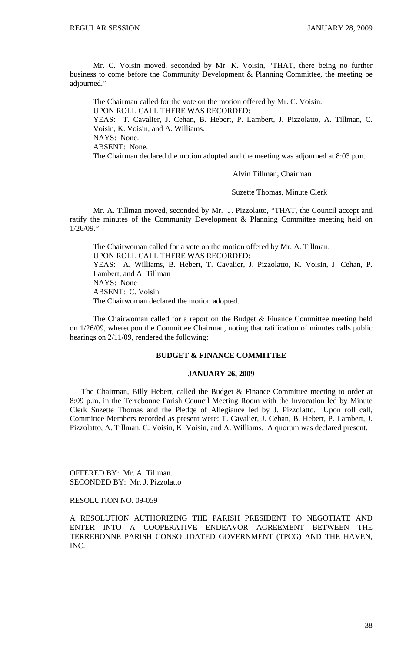Mr. C. Voisin moved, seconded by Mr. K. Voisin, "THAT, there being no further business to come before the Community Development & Planning Committee, the meeting be adjourned."

 The Chairman called for the vote on the motion offered by Mr. C. Voisin. UPON ROLL CALL THERE WAS RECORDED: YEAS: T. Cavalier, J. Cehan, B. Hebert, P. Lambert, J. Pizzolatto, A. Tillman, C. Voisin, K. Voisin, and A. Williams. NAYS: None. ABSENT: None. The Chairman declared the motion adopted and the meeting was adjourned at 8:03 p.m.

Alvin Tillman, Chairman

Suzette Thomas, Minute Clerk

Mr. A. Tillman moved, seconded by Mr. J. Pizzolatto, "THAT, the Council accept and ratify the minutes of the Community Development & Planning Committee meeting held on 1/26/09."

 The Chairwoman called for a vote on the motion offered by Mr. A. Tillman. UPON ROLL CALL THERE WAS RECORDED: YEAS: A. Williams, B. Hebert, T. Cavalier, J. Pizzolatto, K. Voisin, J. Cehan, P. Lambert, and A. Tillman NAYS: None ABSENT: C. Voisin The Chairwoman declared the motion adopted.

 The Chairwoman called for a report on the Budget & Finance Committee meeting held on 1/26/09, whereupon the Committee Chairman, noting that ratification of minutes calls public hearings on 2/11/09, rendered the following:

# **BUDGET & FINANCE COMMITTEE**

#### **JANUARY 26, 2009**

 The Chairman, Billy Hebert, called the Budget & Finance Committee meeting to order at 8:09 p.m. in the Terrebonne Parish Council Meeting Room with the Invocation led by Minute Clerk Suzette Thomas and the Pledge of Allegiance led by J. Pizzolatto. Upon roll call, Committee Members recorded as present were: T. Cavalier, J. Cehan, B. Hebert, P. Lambert, J. Pizzolatto, A. Tillman, C. Voisin, K. Voisin, and A. Williams. A quorum was declared present.

OFFERED BY: Mr. A. Tillman. SECONDED BY: Mr. J. Pizzolatto

RESOLUTION NO. 09-059

A RESOLUTION AUTHORIZING THE PARISH PRESIDENT TO NEGOTIATE AND ENTER INTO A COOPERATIVE ENDEAVOR AGREEMENT BETWEEN THE TERREBONNE PARISH CONSOLIDATED GOVERNMENT (TPCG) AND THE HAVEN, INC.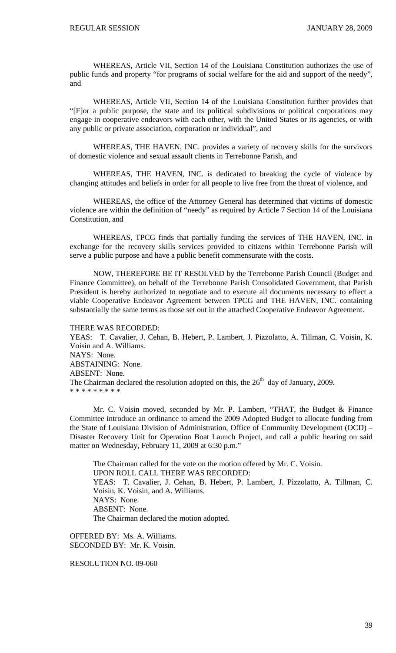WHEREAS, Article VII, Section 14 of the Louisiana Constitution authorizes the use of public funds and property "for programs of social welfare for the aid and support of the needy", and

 WHEREAS, Article VII, Section 14 of the Louisiana Constitution further provides that "[F]or a public purpose, the state and its political subdivisions or political corporations may engage in cooperative endeavors with each other, with the United States or its agencies, or with any public or private association, corporation or individual", and

 WHEREAS, THE HAVEN, INC. provides a variety of recovery skills for the survivors of domestic violence and sexual assault clients in Terrebonne Parish, and

 WHEREAS, THE HAVEN, INC. is dedicated to breaking the cycle of violence by changing attitudes and beliefs in order for all people to live free from the threat of violence, and

 WHEREAS, the office of the Attorney General has determined that victims of domestic violence are within the definition of "needy" as required by Article 7 Section 14 of the Louisiana Constitution, and

 WHEREAS, TPCG finds that partially funding the services of THE HAVEN, INC. in exchange for the recovery skills services provided to citizens within Terrebonne Parish will serve a public purpose and have a public benefit commensurate with the costs.

 NOW, THEREFORE BE IT RESOLVED by the Terrebonne Parish Council (Budget and Finance Committee), on behalf of the Terrebonne Parish Consolidated Government, that Parish President is hereby authorized to negotiate and to execute all documents necessary to effect a viable Cooperative Endeavor Agreement between TPCG and THE HAVEN, INC. containing substantially the same terms as those set out in the attached Cooperative Endeavor Agreement.

THERE WAS RECORDED:

YEAS: T. Cavalier, J. Cehan, B. Hebert, P. Lambert, J. Pizzolatto, A. Tillman, C. Voisin, K. Voisin and A. Williams. NAYS: None. ABSTAINING: None. ABSENT: None. The Chairman declared the resolution adopted on this, the  $26<sup>th</sup>$  day of January, 2009. \* \* \* \* \* \* \* \* \*

 Mr. C. Voisin moved, seconded by Mr. P. Lambert, "THAT, the Budget & Finance Committee introduce an ordinance to amend the 2009 Adopted Budget to allocate funding from the State of Louisiana Division of Administration, Office of Community Development (OCD) – Disaster Recovery Unit for Operation Boat Launch Project, and call a public hearing on said matter on Wednesday, February 11, 2009 at 6:30 p.m."

The Chairman called for the vote on the motion offered by Mr. C. Voisin. UPON ROLL CALL THERE WAS RECORDED: YEAS: T. Cavalier, J. Cehan, B. Hebert, P. Lambert, J. Pizzolatto, A. Tillman, C. Voisin, K. Voisin, and A. Williams. NAYS: None. ABSENT: None. The Chairman declared the motion adopted.

OFFERED BY: Ms. A. Williams. SECONDED BY: Mr. K. Voisin.

RESOLUTION NO. 09-060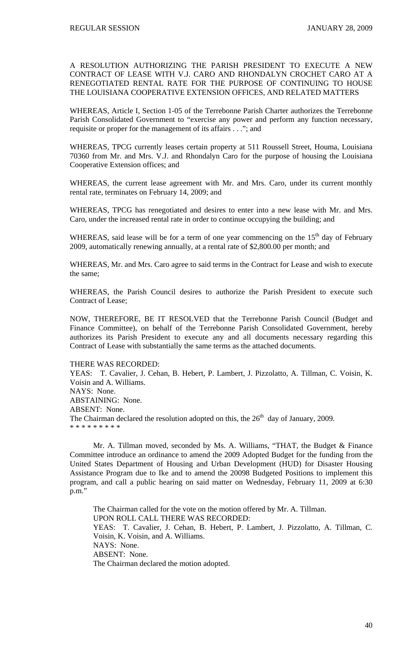A RESOLUTION AUTHORIZING THE PARISH PRESIDENT TO EXECUTE A NEW CONTRACT OF LEASE WITH V.J. CARO AND RHONDALYN CROCHET CARO AT A RENEGOTIATED RENTAL RATE FOR THE PURPOSE OF CONTINUING TO HOUSE THE LOUISIANA COOPERATIVE EXTENSION OFFICES, AND RELATED MATTERS

WHEREAS, Article I, Section 1-05 of the Terrebonne Parish Charter authorizes the Terrebonne Parish Consolidated Government to "exercise any power and perform any function necessary, requisite or proper for the management of its affairs . . ."; and

WHEREAS, TPCG currently leases certain property at 511 Roussell Street, Houma, Louisiana 70360 from Mr. and Mrs. V.J. and Rhondalyn Caro for the purpose of housing the Louisiana Cooperative Extension offices; and

WHEREAS, the current lease agreement with Mr. and Mrs. Caro, under its current monthly rental rate, terminates on February 14, 2009; and

WHEREAS, TPCG has renegotiated and desires to enter into a new lease with Mr. and Mrs. Caro, under the increased rental rate in order to continue occupying the building; and

WHEREAS, said lease will be for a term of one year commencing on the  $15<sup>th</sup>$  day of February 2009, automatically renewing annually, at a rental rate of \$2,800.00 per month; and

WHEREAS, Mr. and Mrs. Caro agree to said terms in the Contract for Lease and wish to execute the same;

WHEREAS, the Parish Council desires to authorize the Parish President to execute such Contract of Lease;

NOW, THEREFORE, BE IT RESOLVED that the Terrebonne Parish Council (Budget and Finance Committee), on behalf of the Terrebonne Parish Consolidated Government, hereby authorizes its Parish President to execute any and all documents necessary regarding this Contract of Lease with substantially the same terms as the attached documents.

## THERE WAS RECORDED:

YEAS: T. Cavalier, J. Cehan, B. Hebert, P. Lambert, J. Pizzolatto, A. Tillman, C. Voisin, K. Voisin and A. Williams. NAYS: None. ABSTAINING: None. ABSENT: None. The Chairman declared the resolution adopted on this, the  $26<sup>th</sup>$  day of January, 2009. \* \* \* \* \* \* \* \* \*

 Mr. A. Tillman moved, seconded by Ms. A. Williams, "THAT, the Budget & Finance Committee introduce an ordinance to amend the 2009 Adopted Budget for the funding from the United States Department of Housing and Urban Development (HUD) for Disaster Housing Assistance Program due to Ike and to amend the 20098 Budgeted Positions to implement this program, and call a public hearing on said matter on Wednesday, February 11, 2009 at 6:30 p.m."

The Chairman called for the vote on the motion offered by Mr. A. Tillman. UPON ROLL CALL THERE WAS RECORDED: YEAS: T. Cavalier, J. Cehan, B. Hebert, P. Lambert, J. Pizzolatto, A. Tillman, C. Voisin, K. Voisin, and A. Williams. NAYS: None. ABSENT: None. The Chairman declared the motion adopted.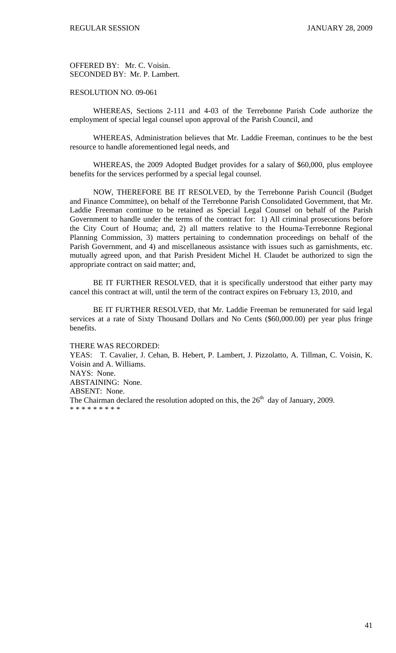OFFERED BY: Mr. C. Voisin. SECONDED BY: Mr. P. Lambert.

RESOLUTION NO. 09-061

 WHEREAS, Sections 2-111 and 4-03 of the Terrebonne Parish Code authorize the employment of special legal counsel upon approval of the Parish Council, and

 WHEREAS, Administration believes that Mr. Laddie Freeman, continues to be the best resource to handle aforementioned legal needs, and

 WHEREAS, the 2009 Adopted Budget provides for a salary of \$60,000, plus employee benefits for the services performed by a special legal counsel.

 NOW, THEREFORE BE IT RESOLVED, by the Terrebonne Parish Council (Budget and Finance Committee), on behalf of the Terrebonne Parish Consolidated Government, that Mr. Laddie Freeman continue to be retained as Special Legal Counsel on behalf of the Parish Government to handle under the terms of the contract for: 1) All criminal prosecutions before the City Court of Houma; and, 2) all matters relative to the Houma-Terrebonne Regional Planning Commission, 3) matters pertaining to condemnation proceedings on behalf of the Parish Government, and 4) and miscellaneous assistance with issues such as garnishments, etc. mutually agreed upon, and that Parish President Michel H. Claudet be authorized to sign the appropriate contract on said matter; and,

 BE IT FURTHER RESOLVED, that it is specifically understood that either party may cancel this contract at will, until the term of the contract expires on February 13, 2010, and

BE IT FURTHER RESOLVED, that Mr. Laddie Freeman be remunerated for said legal services at a rate of Sixty Thousand Dollars and No Cents (\$60,000.00) per year plus fringe benefits.

THERE WAS RECORDED:

YEAS: T. Cavalier, J. Cehan, B. Hebert, P. Lambert, J. Pizzolatto, A. Tillman, C. Voisin, K. Voisin and A. Williams. NAYS: None. ABSTAINING: None. ABSENT: None. The Chairman declared the resolution adopted on this, the  $26<sup>th</sup>$  day of January, 2009. \* \* \* \* \* \* \* \* \*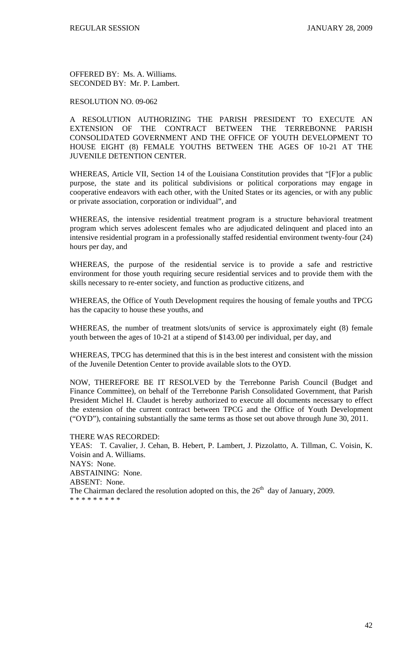OFFERED BY: Ms. A. Williams. SECONDED BY: Mr. P. Lambert.

## RESOLUTION NO. 09-062

A RESOLUTION AUTHORIZING THE PARISH PRESIDENT TO EXECUTE AN EXTENSION OF THE CONTRACT BETWEEN THE TERREBONNE PARISH CONSOLIDATED GOVERNMENT AND THE OFFICE OF YOUTH DEVELOPMENT TO HOUSE EIGHT (8) FEMALE YOUTHS BETWEEN THE AGES OF 10-21 AT THE JUVENILE DETENTION CENTER.

WHEREAS, Article VII, Section 14 of the Louisiana Constitution provides that "[F]or a public purpose, the state and its political subdivisions or political corporations may engage in cooperative endeavors with each other, with the United States or its agencies, or with any public or private association, corporation or individual", and

WHEREAS, the intensive residential treatment program is a structure behavioral treatment program which serves adolescent females who are adjudicated delinquent and placed into an intensive residential program in a professionally staffed residential environment twenty-four (24) hours per day, and

WHEREAS, the purpose of the residential service is to provide a safe and restrictive environment for those youth requiring secure residential services and to provide them with the skills necessary to re-enter society, and function as productive citizens, and

WHEREAS, the Office of Youth Development requires the housing of female youths and TPCG has the capacity to house these youths, and

WHEREAS, the number of treatment slots/units of service is approximately eight (8) female youth between the ages of 10-21 at a stipend of \$143.00 per individual, per day, and

WHEREAS, TPCG has determined that this is in the best interest and consistent with the mission of the Juvenile Detention Center to provide available slots to the OYD.

NOW, THEREFORE BE IT RESOLVED by the Terrebonne Parish Council (Budget and Finance Committee), on behalf of the Terrebonne Parish Consolidated Government, that Parish President Michel H. Claudet is hereby authorized to execute all documents necessary to effect the extension of the current contract between TPCG and the Office of Youth Development ("OYD"), containing substantially the same terms as those set out above through June 30, 2011.

#### THERE WAS RECORDED:

YEAS: T. Cavalier, J. Cehan, B. Hebert, P. Lambert, J. Pizzolatto, A. Tillman, C. Voisin, K. Voisin and A. Williams. NAYS: None. ABSTAINING: None. ABSENT: None. The Chairman declared the resolution adopted on this, the  $26<sup>th</sup>$  day of January, 2009. \* \* \* \* \* \* \* \* \*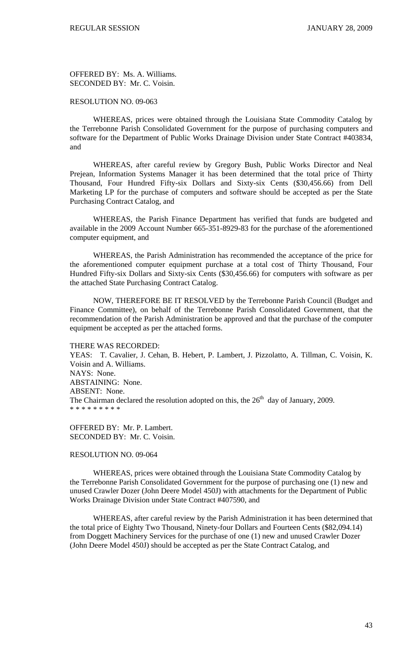OFFERED BY: Ms. A. Williams. SECONDED BY: Mr. C. Voisin.

### RESOLUTION NO. 09-063

 WHEREAS, prices were obtained through the Louisiana State Commodity Catalog by the Terrebonne Parish Consolidated Government for the purpose of purchasing computers and software for the Department of Public Works Drainage Division under State Contract #403834, and

 WHEREAS, after careful review by Gregory Bush, Public Works Director and Neal Prejean, Information Systems Manager it has been determined that the total price of Thirty Thousand, Four Hundred Fifty-six Dollars and Sixty-six Cents (\$30,456.66) from Dell Marketing LP for the purchase of computers and software should be accepted as per the State Purchasing Contract Catalog, and

 WHEREAS, the Parish Finance Department has verified that funds are budgeted and available in the 2009 Account Number 665-351-8929-83 for the purchase of the aforementioned computer equipment, and

 WHEREAS, the Parish Administration has recommended the acceptance of the price for the aforementioned computer equipment purchase at a total cost of Thirty Thousand, Four Hundred Fifty-six Dollars and Sixty-six Cents (\$30,456.66) for computers with software as per the attached State Purchasing Contract Catalog.

 NOW, THEREFORE BE IT RESOLVED by the Terrebonne Parish Council (Budget and Finance Committee), on behalf of the Terrebonne Parish Consolidated Government, that the recommendation of the Parish Administration be approved and that the purchase of the computer equipment be accepted as per the attached forms.

#### THERE WAS RECORDED:

YEAS: T. Cavalier, J. Cehan, B. Hebert, P. Lambert, J. Pizzolatto, A. Tillman, C. Voisin, K. Voisin and A. Williams. NAYS: None. ABSTAINING: None. ABSENT: None. The Chairman declared the resolution adopted on this, the  $26<sup>th</sup>$  day of January, 2009. \* \* \* \* \* \* \* \* \*

OFFERED BY: Mr. P. Lambert. SECONDED BY: Mr. C. Voisin.

## RESOLUTION NO. 09-064

 WHEREAS, prices were obtained through the Louisiana State Commodity Catalog by the Terrebonne Parish Consolidated Government for the purpose of purchasing one (1) new and unused Crawler Dozer (John Deere Model 450J) with attachments for the Department of Public Works Drainage Division under State Contract #407590, and

 WHEREAS, after careful review by the Parish Administration it has been determined that the total price of Eighty Two Thousand, Ninety-four Dollars and Fourteen Cents (\$82,094.14) from Doggett Machinery Services for the purchase of one (1) new and unused Crawler Dozer (John Deere Model 450J) should be accepted as per the State Contract Catalog, and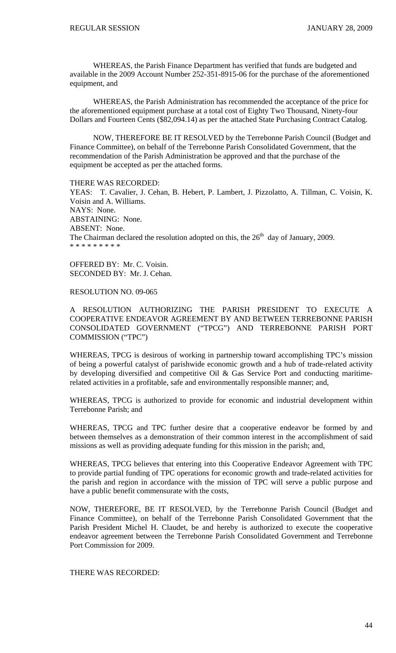WHEREAS, the Parish Finance Department has verified that funds are budgeted and available in the 2009 Account Number 252-351-8915-06 for the purchase of the aforementioned equipment, and

 WHEREAS, the Parish Administration has recommended the acceptance of the price for the aforementioned equipment purchase at a total cost of Eighty Two Thousand, Ninety-four Dollars and Fourteen Cents (\$82,094.14) as per the attached State Purchasing Contract Catalog.

 NOW, THEREFORE BE IT RESOLVED by the Terrebonne Parish Council (Budget and Finance Committee), on behalf of the Terrebonne Parish Consolidated Government, that the recommendation of the Parish Administration be approved and that the purchase of the equipment be accepted as per the attached forms.

THERE WAS RECORDED: YEAS: T. Cavalier, J. Cehan, B. Hebert, P. Lambert, J. Pizzolatto, A. Tillman, C. Voisin, K. Voisin and A. Williams. NAYS: None. ABSTAINING: None. ABSENT: None. The Chairman declared the resolution adopted on this, the  $26<sup>th</sup>$  day of January, 2009. \* \* \* \* \* \* \* \* \*

OFFERED BY: Mr. C. Voisin. SECONDED BY: Mr. J. Cehan.

RESOLUTION NO. 09-065

A RESOLUTION AUTHORIZING THE PARISH PRESIDENT TO EXECUTE A COOPERATIVE ENDEAVOR AGREEMENT BY AND BETWEEN TERREBONNE PARISH CONSOLIDATED GOVERNMENT ("TPCG") AND TERREBONNE PARISH PORT COMMISSION ("TPC")

WHEREAS, TPCG is desirous of working in partnership toward accomplishing TPC's mission of being a powerful catalyst of parishwide economic growth and a hub of trade-related activity by developing diversified and competitive Oil & Gas Service Port and conducting maritimerelated activities in a profitable, safe and environmentally responsible manner; and,

WHEREAS, TPCG is authorized to provide for economic and industrial development within Terrebonne Parish; and

WHEREAS, TPCG and TPC further desire that a cooperative endeavor be formed by and between themselves as a demonstration of their common interest in the accomplishment of said missions as well as providing adequate funding for this mission in the parish; and,

WHEREAS, TPCG believes that entering into this Cooperative Endeavor Agreement with TPC to provide partial funding of TPC operations for economic growth and trade-related activities for the parish and region in accordance with the mission of TPC will serve a public purpose and have a public benefit commensurate with the costs,

NOW, THEREFORE, BE IT RESOLVED, by the Terrebonne Parish Council (Budget and Finance Committee), on behalf of the Terrebonne Parish Consolidated Government that the Parish President Michel H. Claudet, be and hereby is authorized to execute the cooperative endeavor agreement between the Terrebonne Parish Consolidated Government and Terrebonne Port Commission for 2009.

THERE WAS RECORDED: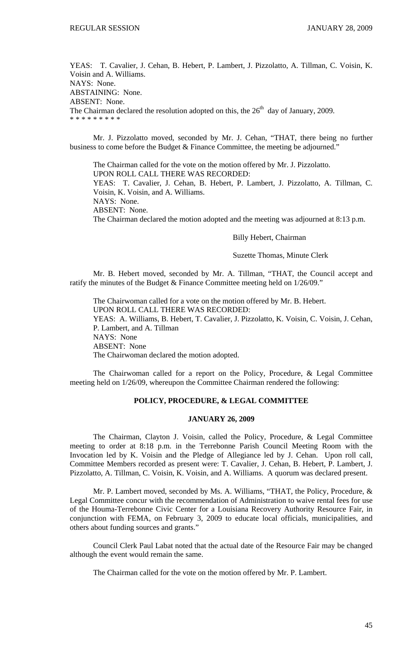YEAS: T. Cavalier, J. Cehan, B. Hebert, P. Lambert, J. Pizzolatto, A. Tillman, C. Voisin, K. Voisin and A. Williams. NAYS: None. ABSTAINING: None. ABSENT: None. The Chairman declared the resolution adopted on this, the  $26<sup>th</sup>$  day of January, 2009. \* \* \* \* \* \* \* \* \*

 Mr. J. Pizzolatto moved, seconded by Mr. J. Cehan, "THAT, there being no further business to come before the Budget & Finance Committee, the meeting be adjourned."

 The Chairman called for the vote on the motion offered by Mr. J. Pizzolatto. UPON ROLL CALL THERE WAS RECORDED: YEAS: T. Cavalier, J. Cehan, B. Hebert, P. Lambert, J. Pizzolatto, A. Tillman, C. Voisin, K. Voisin, and A. Williams. NAYS: None. ABSENT: None. The Chairman declared the motion adopted and the meeting was adjourned at 8:13 p.m.

# Billy Hebert, Chairman

#### Suzette Thomas, Minute Clerk

 Mr. B. Hebert moved, seconded by Mr. A. Tillman, "THAT, the Council accept and ratify the minutes of the Budget & Finance Committee meeting held on 1/26/09."

 The Chairwoman called for a vote on the motion offered by Mr. B. Hebert. UPON ROLL CALL THERE WAS RECORDED: YEAS: A. Williams, B. Hebert, T. Cavalier, J. Pizzolatto, K. Voisin, C. Voisin, J. Cehan, P. Lambert, and A. Tillman NAYS: None ABSENT: None The Chairwoman declared the motion adopted.

 The Chairwoman called for a report on the Policy, Procedure, & Legal Committee meeting held on 1/26/09, whereupon the Committee Chairman rendered the following:

## **POLICY, PROCEDURE, & LEGAL COMMITTEE**

#### **JANUARY 26, 2009**

 The Chairman, Clayton J. Voisin, called the Policy, Procedure, & Legal Committee meeting to order at 8:18 p.m. in the Terrebonne Parish Council Meeting Room with the Invocation led by K. Voisin and the Pledge of Allegiance led by J. Cehan. Upon roll call, Committee Members recorded as present were: T. Cavalier, J. Cehan, B. Hebert, P. Lambert, J. Pizzolatto, A. Tillman, C. Voisin, K. Voisin, and A. Williams. A quorum was declared present.

 Mr. P. Lambert moved, seconded by Ms. A. Williams, "THAT, the Policy, Procedure, & Legal Committee concur with the recommendation of Administration to waive rental fees for use of the Houma-Terrebonne Civic Center for a Louisiana Recovery Authority Resource Fair, in conjunction with FEMA, on February 3, 2009 to educate local officials, municipalities, and others about funding sources and grants."

 Council Clerk Paul Labat noted that the actual date of the Resource Fair may be changed although the event would remain the same.

The Chairman called for the vote on the motion offered by Mr. P. Lambert.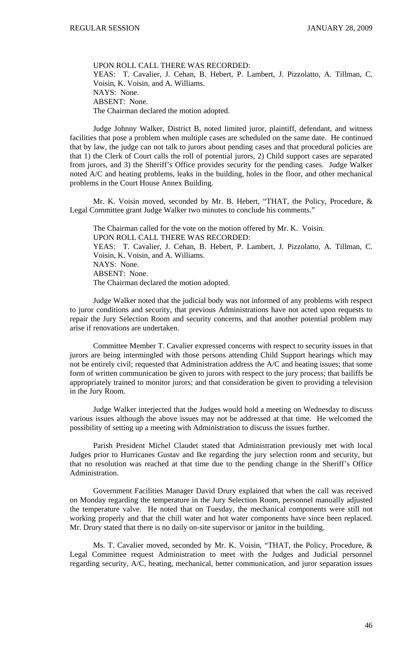UPON ROLL CALL THERE WAS RECORDED: YEAS: T. Cavalier, J. Cehan, B. Hebert, P. Lambert, J. Pizzolatto, A. Tillman, C. Voisin, K. Voisin, and A. Williams. NAYS: None. ABSENT: None. The Chairman declared the motion adopted.

 Judge Johnny Walker, District B, noted limited juror, plaintiff, defendant, and witness facilities that pose a problem when multiple cases are scheduled on the same date. He continued that by law, the judge can not talk to jurors about pending cases and that procedural policies are that 1) the Clerk of Court calls the roll of potential jurors, 2) Child support cases are separated from jurors, and 3) the Sheriff's Office provides security for the pending cases. Judge Walker noted A/C and heating problems, leaks in the building, holes in the floor, and other mechanical problems in the Court House Annex Building.

 Mr. K. Voisin moved, seconded by Mr. B. Hebert, "THAT, the Policy, Procedure, & Legal Committee grant Judge Walker two minutes to conclude his comments."

 The Chairman called for the vote on the motion offered by Mr. K. Voisin. UPON ROLL CALL THERE WAS RECORDED: YEAS: T. Cavalier, J. Cehan, B. Hebert, P. Lambert, J. Pizzolatto, A. Tillman, C. Voisin, K. Voisin, and A. Williams. NAYS: None. ABSENT: None. The Chairman declared the motion adopted.

 Judge Walker noted that the judicial body was not informed of any problems with respect to juror conditions and security, that previous Administrations have not acted upon requests to repair the Jury Selection Room and security concerns, and that another potential problem may arise if renovations are undertaken.

 Committee Member T. Cavalier expressed concerns with respect to security issues in that jurors are being intermingled with those persons attending Child Support hearings which may not be entirely civil; requested that Administration address the A/C and heating issues; that some form of written communication be given to jurors with respect to the jury process; that bailiffs be appropriately trained to monitor jurors; and that consideration be given to providing a television in the Jury Room.

 Judge Walker interjected that the Judges would hold a meeting on Wednesday to discuss various issues although the above issues may not be addressed at that time. He welcomed the possibility of setting up a meeting with Administration to discuss the issues further.

 Parish President Michel Claudet stated that Administration previously met with local Judges prior to Hurricanes Gustav and Ike regarding the jury selection room and security, but that no resolution was reached at that time due to the pending change in the Sheriff's Office Administration.

 Government Facilities Manager David Drury explained that when the call was received on Monday regarding the temperature in the Jury Selection Room, personnel manually adjusted the temperature valve. He noted that on Tuesday, the mechanical components were still not working properly and that the chill water and hot water components have since been replaced. Mr. Drury stated that there is no daily on-site supervisor or janitor in the building.

 Ms. T. Cavalier moved, seconded by Mr. K. Voisin, "THAT, the Policy, Procedure, & Legal Committee request Administration to meet with the Judges and Judicial personnel regarding security, A/C, heating, mechanical, better communication, and juror separation issues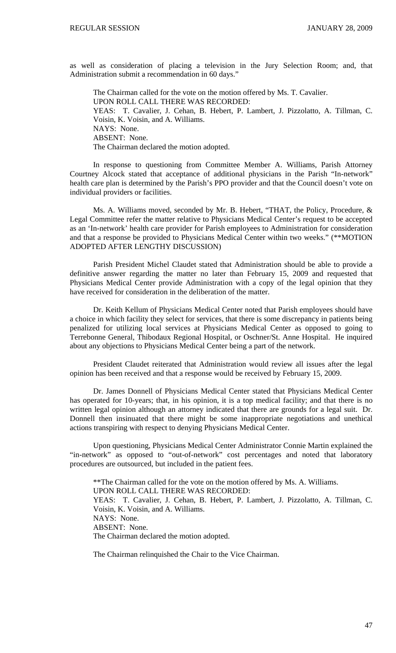as well as consideration of placing a television in the Jury Selection Room; and, that Administration submit a recommendation in 60 days."

 The Chairman called for the vote on the motion offered by Ms. T. Cavalier. UPON ROLL CALL THERE WAS RECORDED: YEAS: T. Cavalier, J. Cehan, B. Hebert, P. Lambert, J. Pizzolatto, A. Tillman, C. Voisin, K. Voisin, and A. Williams. NAYS: None. ABSENT: None. The Chairman declared the motion adopted.

 In response to questioning from Committee Member A. Williams, Parish Attorney Courtney Alcock stated that acceptance of additional physicians in the Parish "In-network" health care plan is determined by the Parish's PPO provider and that the Council doesn't vote on individual providers or facilities.

 Ms. A. Williams moved, seconded by Mr. B. Hebert, "THAT, the Policy, Procedure, & Legal Committee refer the matter relative to Physicians Medical Center's request to be accepted as an 'In-network' health care provider for Parish employees to Administration for consideration and that a response be provided to Physicians Medical Center within two weeks." (\*\*MOTION ADOPTED AFTER LENGTHY DISCUSSION)

 Parish President Michel Claudet stated that Administration should be able to provide a definitive answer regarding the matter no later than February 15, 2009 and requested that Physicians Medical Center provide Administration with a copy of the legal opinion that they have received for consideration in the deliberation of the matter.

 Dr. Keith Kellum of Physicians Medical Center noted that Parish employees should have a choice in which facility they select for services, that there is some discrepancy in patients being penalized for utilizing local services at Physicians Medical Center as opposed to going to Terrebonne General, Thibodaux Regional Hospital, or Oschner/St. Anne Hospital. He inquired about any objections to Physicians Medical Center being a part of the network.

 President Claudet reiterated that Administration would review all issues after the legal opinion has been received and that a response would be received by February 15, 2009.

 Dr. James Donnell of Physicians Medical Center stated that Physicians Medical Center has operated for 10-years; that, in his opinion, it is a top medical facility; and that there is no written legal opinion although an attorney indicated that there are grounds for a legal suit. Dr. Donnell then insinuated that there might be some inappropriate negotiations and unethical actions transpiring with respect to denying Physicians Medical Center.

 Upon questioning, Physicians Medical Center Administrator Connie Martin explained the "in-network" as opposed to "out-of-network" cost percentages and noted that laboratory procedures are outsourced, but included in the patient fees.

 \*\*The Chairman called for the vote on the motion offered by Ms. A. Williams. UPON ROLL CALL THERE WAS RECORDED: YEAS: T. Cavalier, J. Cehan, B. Hebert, P. Lambert, J. Pizzolatto, A. Tillman, C. Voisin, K. Voisin, and A. Williams. NAYS: None. ABSENT: None. The Chairman declared the motion adopted.

The Chairman relinquished the Chair to the Vice Chairman.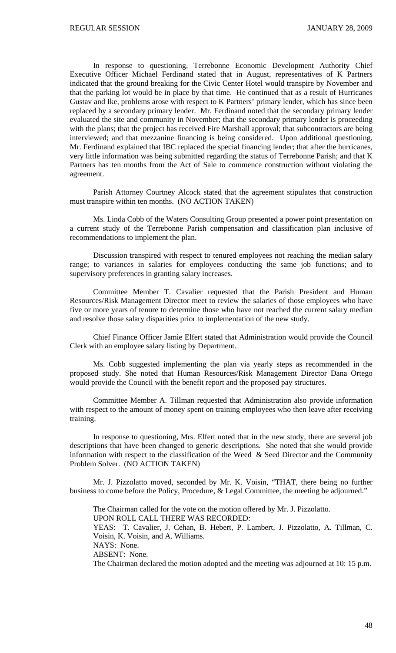In response to questioning, Terrebonne Economic Development Authority Chief Executive Officer Michael Ferdinand stated that in August, representatives of K Partners indicated that the ground breaking for the Civic Center Hotel would transpire by November and that the parking lot would be in place by that time. He continued that as a result of Hurricanes Gustav and Ike, problems arose with respect to K Partners' primary lender, which has since been replaced by a secondary primary lender. Mr. Ferdinand noted that the secondary primary lender evaluated the site and community in November; that the secondary primary lender is proceeding with the plans; that the project has received Fire Marshall approval; that subcontractors are being interviewed; and that mezzanine financing is being considered. Upon additional questioning, Mr. Ferdinand explained that IBC replaced the special financing lender; that after the hurricanes, very little information was being submitted regarding the status of Terrebonne Parish; and that K Partners has ten months from the Act of Sale to commence construction without violating the agreement.

 Parish Attorney Courtney Alcock stated that the agreement stipulates that construction must transpire within ten months. (NO ACTION TAKEN)

 Ms. Linda Cobb of the Waters Consulting Group presented a power point presentation on a current study of the Terrebonne Parish compensation and classification plan inclusive of recommendations to implement the plan.

 Discussion transpired with respect to tenured employees not reaching the median salary range; to variances in salaries for employees conducting the same job functions; and to supervisory preferences in granting salary increases.

 Committee Member T. Cavalier requested that the Parish President and Human Resources/Risk Management Director meet to review the salaries of those employees who have five or more years of tenure to determine those who have not reached the current salary median and resolve those salary disparities prior to implementation of the new study.

 Chief Finance Officer Jamie Elfert stated that Administration would provide the Council Clerk with an employee salary listing by Department.

 Ms. Cobb suggested implementing the plan via yearly steps as recommended in the proposed study. She noted that Human Resources/Risk Management Director Dana Ortego would provide the Council with the benefit report and the proposed pay structures.

 Committee Member A. Tillman requested that Administration also provide information with respect to the amount of money spent on training employees who then leave after receiving training.

 In response to questioning, Mrs. Elfert noted that in the new study, there are several job descriptions that have been changed to generic descriptions. She noted that she would provide information with respect to the classification of the Weed  $\&$  Seed Director and the Community Problem Solver. (NO ACTION TAKEN)

 Mr. J. Pizzolatto moved, seconded by Mr. K. Voisin, "THAT, there being no further business to come before the Policy, Procedure, & Legal Committee, the meeting be adjourned."

 The Chairman called for the vote on the motion offered by Mr. J. Pizzolatto. UPON ROLL CALL THERE WAS RECORDED: YEAS: T. Cavalier, J. Cehan, B. Hebert, P. Lambert, J. Pizzolatto, A. Tillman, C. Voisin, K. Voisin, and A. Williams. NAYS: None. ABSENT: None. The Chairman declared the motion adopted and the meeting was adjourned at 10: 15 p.m.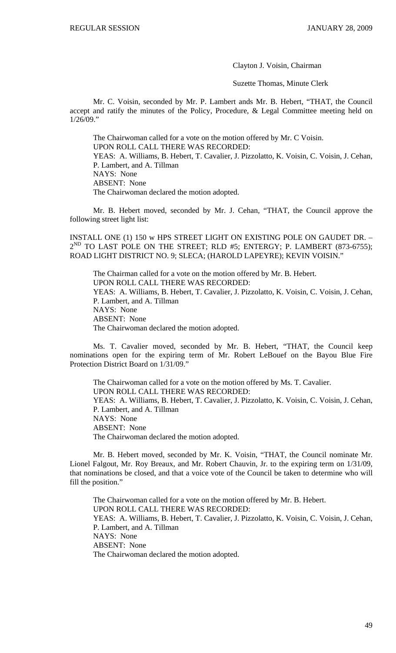Clayton J. Voisin, Chairman

Suzette Thomas, Minute Clerk

 Mr. C. Voisin, seconded by Mr. P. Lambert ands Mr. B. Hebert, "THAT, the Council accept and ratify the minutes of the Policy, Procedure, & Legal Committee meeting held on 1/26/09."

 The Chairwoman called for a vote on the motion offered by Mr. C Voisin. UPON ROLL CALL THERE WAS RECORDED: YEAS: A. Williams, B. Hebert, T. Cavalier, J. Pizzolatto, K. Voisin, C. Voisin, J. Cehan, P. Lambert, and A. Tillman NAYS: None ABSENT: None The Chairwoman declared the motion adopted.

 Mr. B. Hebert moved, seconded by Mr. J. Cehan, "THAT, the Council approve the following street light list:

INSTALL ONE (1) 150 w HPS STREET LIGHT ON EXISTING POLE ON GAUDET DR. –  $2^{ND}$  TO LAST POLE ON THE STREET; RLD #5; ENTERGY; P. LAMBERT (873-6755); ROAD LIGHT DISTRICT NO. 9; SLECA; (HAROLD LAPEYRE); KEVIN VOISIN."

The Chairman called for a vote on the motion offered by Mr. B. Hebert. UPON ROLL CALL THERE WAS RECORDED: YEAS: A. Williams, B. Hebert, T. Cavalier, J. Pizzolatto, K. Voisin, C. Voisin, J. Cehan, P. Lambert, and A. Tillman NAYS: None ABSENT: None The Chairwoman declared the motion adopted.

 Ms. T. Cavalier moved, seconded by Mr. B. Hebert, "THAT, the Council keep nominations open for the expiring term of Mr. Robert LeBouef on the Bayou Blue Fire Protection District Board on 1/31/09."

 The Chairwoman called for a vote on the motion offered by Ms. T. Cavalier. UPON ROLL CALL THERE WAS RECORDED: YEAS: A. Williams, B. Hebert, T. Cavalier, J. Pizzolatto, K. Voisin, C. Voisin, J. Cehan, P. Lambert, and A. Tillman NAYS: None ABSENT: None The Chairwoman declared the motion adopted.

Mr. B. Hebert moved, seconded by Mr. K. Voisin, "THAT, the Council nominate Mr. Lionel Falgout, Mr. Roy Breaux, and Mr. Robert Chauvin, Jr. to the expiring term on 1/31/09, that nominations be closed, and that a voice vote of the Council be taken to determine who will fill the position."

 The Chairwoman called for a vote on the motion offered by Mr. B. Hebert. UPON ROLL CALL THERE WAS RECORDED: YEAS: A. Williams, B. Hebert, T. Cavalier, J. Pizzolatto, K. Voisin, C. Voisin, J. Cehan, P. Lambert, and A. Tillman NAYS: None ABSENT: None The Chairwoman declared the motion adopted.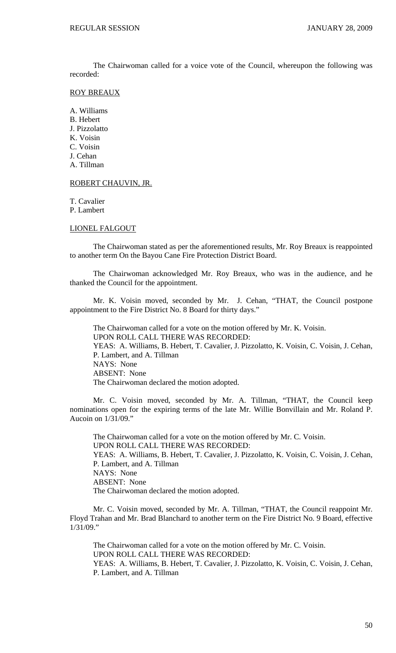The Chairwoman called for a voice vote of the Council, whereupon the following was recorded:

## ROY BREAUX

A. Williams B. Hebert J. Pizzolatto K. Voisin C. Voisin J. Cehan A. Tillman

## ROBERT CHAUVIN, JR.

T. Cavalier

P. Lambert

## LIONEL FALGOUT

 The Chairwoman stated as per the aforementioned results, Mr. Roy Breaux is reappointed to another term On the Bayou Cane Fire Protection District Board.

 The Chairwoman acknowledged Mr. Roy Breaux, who was in the audience, and he thanked the Council for the appointment.

Mr. K. Voisin moved, seconded by Mr. J. Cehan, "THAT, the Council postpone appointment to the Fire District No. 8 Board for thirty days."

 The Chairwoman called for a vote on the motion offered by Mr. K. Voisin. UPON ROLL CALL THERE WAS RECORDED: YEAS: A. Williams, B. Hebert, T. Cavalier, J. Pizzolatto, K. Voisin, C. Voisin, J. Cehan, P. Lambert, and A. Tillman NAYS: None ABSENT: None The Chairwoman declared the motion adopted.

Mr. C. Voisin moved, seconded by Mr. A. Tillman, "THAT, the Council keep nominations open for the expiring terms of the late Mr. Willie Bonvillain and Mr. Roland P. Aucoin on 1/31/09."

 The Chairwoman called for a vote on the motion offered by Mr. C. Voisin. UPON ROLL CALL THERE WAS RECORDED: YEAS: A. Williams, B. Hebert, T. Cavalier, J. Pizzolatto, K. Voisin, C. Voisin, J. Cehan, P. Lambert, and A. Tillman NAYS: None ABSENT: None The Chairwoman declared the motion adopted.

Mr. C. Voisin moved, seconded by Mr. A. Tillman, "THAT, the Council reappoint Mr. Floyd Trahan and Mr. Brad Blanchard to another term on the Fire District No. 9 Board, effective 1/31/09."

 The Chairwoman called for a vote on the motion offered by Mr. C. Voisin. UPON ROLL CALL THERE WAS RECORDED: YEAS: A. Williams, B. Hebert, T. Cavalier, J. Pizzolatto, K. Voisin, C. Voisin, J. Cehan, P. Lambert, and A. Tillman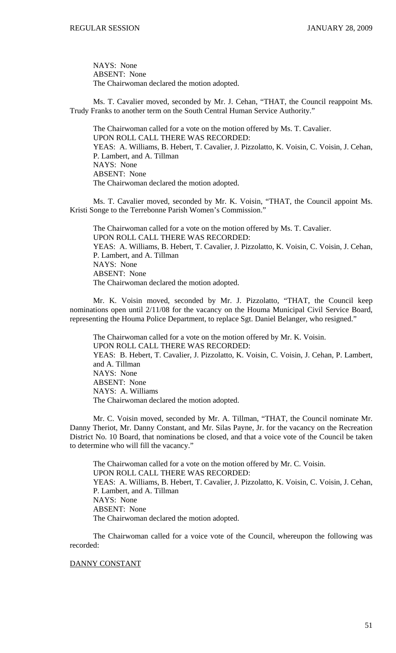NAYS: None ABSENT: None The Chairwoman declared the motion adopted.

 Ms. T. Cavalier moved, seconded by Mr. J. Cehan, "THAT, the Council reappoint Ms. Trudy Franks to another term on the South Central Human Service Authority."

 The Chairwoman called for a vote on the motion offered by Ms. T. Cavalier. UPON ROLL CALL THERE WAS RECORDED: YEAS: A. Williams, B. Hebert, T. Cavalier, J. Pizzolatto, K. Voisin, C. Voisin, J. Cehan, P. Lambert, and A. Tillman NAYS: None ABSENT: None The Chairwoman declared the motion adopted.

 Ms. T. Cavalier moved, seconded by Mr. K. Voisin, "THAT, the Council appoint Ms. Kristi Songe to the Terrebonne Parish Women's Commission."

 The Chairwoman called for a vote on the motion offered by Ms. T. Cavalier. UPON ROLL CALL THERE WAS RECORDED: YEAS: A. Williams, B. Hebert, T. Cavalier, J. Pizzolatto, K. Voisin, C. Voisin, J. Cehan, P. Lambert, and A. Tillman NAYS: None ABSENT: None The Chairwoman declared the motion adopted.

 Mr. K. Voisin moved, seconded by Mr. J. Pizzolatto, "THAT, the Council keep nominations open until 2/11/08 for the vacancy on the Houma Municipal Civil Service Board, representing the Houma Police Department, to replace Sgt. Daniel Belanger, who resigned."

 The Chairwoman called for a vote on the motion offered by Mr. K. Voisin. UPON ROLL CALL THERE WAS RECORDED: YEAS: B. Hebert, T. Cavalier, J. Pizzolatto, K. Voisin, C. Voisin, J. Cehan, P. Lambert, and A. Tillman NAYS: None ABSENT: None NAYS: A. Williams The Chairwoman declared the motion adopted.

 Mr. C. Voisin moved, seconded by Mr. A. Tillman, "THAT, the Council nominate Mr. Danny Theriot, Mr. Danny Constant, and Mr. Silas Payne, Jr. for the vacancy on the Recreation District No. 10 Board, that nominations be closed, and that a voice vote of the Council be taken to determine who will fill the vacancy."

 The Chairwoman called for a vote on the motion offered by Mr. C. Voisin. UPON ROLL CALL THERE WAS RECORDED: YEAS: A. Williams, B. Hebert, T. Cavalier, J. Pizzolatto, K. Voisin, C. Voisin, J. Cehan, P. Lambert, and A. Tillman NAYS: None ABSENT: None The Chairwoman declared the motion adopted.

 The Chairwoman called for a voice vote of the Council, whereupon the following was recorded:

# DANNY CONSTANT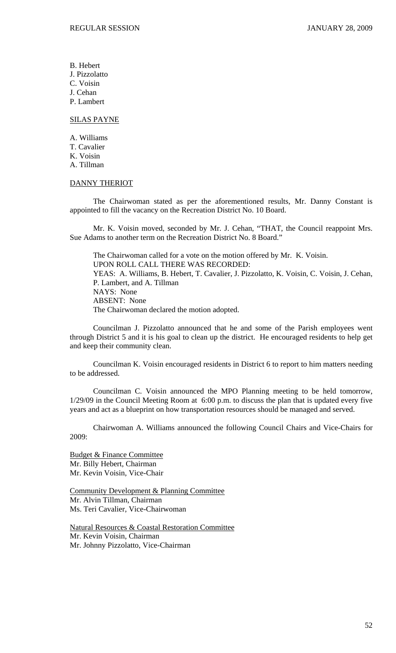B. Hebert J. Pizzolatto C. Voisin J. Cehan P. Lambert

#### SILAS PAYNE

A. Williams T. Cavalier K. Voisin A. Tillman

## DANNY THERIOT

 The Chairwoman stated as per the aforementioned results, Mr. Danny Constant is appointed to fill the vacancy on the Recreation District No. 10 Board.

 Mr. K. Voisin moved, seconded by Mr. J. Cehan, "THAT, the Council reappoint Mrs. Sue Adams to another term on the Recreation District No. 8 Board."

 The Chairwoman called for a vote on the motion offered by Mr. K. Voisin. UPON ROLL CALL THERE WAS RECORDED: YEAS: A. Williams, B. Hebert, T. Cavalier, J. Pizzolatto, K. Voisin, C. Voisin, J. Cehan, P. Lambert, and A. Tillman NAYS: None ABSENT: None The Chairwoman declared the motion adopted.

 Councilman J. Pizzolatto announced that he and some of the Parish employees went through District 5 and it is his goal to clean up the district. He encouraged residents to help get and keep their community clean.

 Councilman K. Voisin encouraged residents in District 6 to report to him matters needing to be addressed.

 Councilman C. Voisin announced the MPO Planning meeting to be held tomorrow, 1/29/09 in the Council Meeting Room at 6:00 p.m. to discuss the plan that is updated every five years and act as a blueprint on how transportation resources should be managed and served.

 Chairwoman A. Williams announced the following Council Chairs and Vice-Chairs for 2009:

Budget & Finance Committee Mr. Billy Hebert, Chairman Mr. Kevin Voisin, Vice-Chair

Community Development & Planning Committee Mr. Alvin Tillman, Chairman Ms. Teri Cavalier, Vice-Chairwoman

Natural Resources & Coastal Restoration Committee Mr. Kevin Voisin, Chairman Mr. Johnny Pizzolatto, Vice-Chairman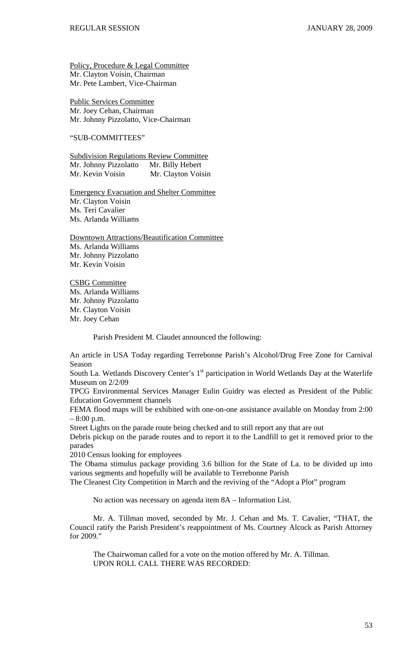Policy, Procedure & Legal Committee Mr. Clayton Voisin, Chairman Mr. Pete Lambert, Vice-Chairman

Public Services Committee Mr. Joey Cehan, Chairman Mr. Johnny Pizzolatto, Vice-Chairman

# "SUB-COMMITTEES"

Subdivision Regulations Review Committee Mr. Johnny Pizzolatto Mr. Billy Hebert Mr. Kevin Voisin Mr. Clayton Voisin

Emergency Evacuation and Shelter Committee Mr. Clayton Voisin Ms. Teri Cavalier Ms. Arlanda Williams

Downtown Attractions/Beautification Committee Ms. Arlanda Williams Mr. Johnny Pizzolatto Mr. Kevin Voisin

CSBG Committee Ms. Arlanda Williams Mr. Johnny Pizzolatto Mr. Clayton Voisin Mr. Joey Cehan

Parish President M. Claudet announced the following:

An article in USA Today regarding Terrebonne Parish's Alcohol/Drug Free Zone for Carnival Season

South La. Wetlands Discovery Center's 1<sup>st</sup> participation in World Wetlands Day at the Waterlife Museum on 2/2/09

TPCG Environmental Services Manager Eulin Guidry was elected as President of the Public Education Government channels

FEMA flood maps will be exhibited with one-on-one assistance available on Monday from 2:00 – 8:00 p.m.

Street Lights on the parade route being checked and to still report any that are out

Debris pickup on the parade routes and to report it to the Landfill to get it removed prior to the parades

2010 Census looking for employees

The Obama stimulus package providing 3.6 billion for the State of La. to be divided up into various segments and hopefully will be available to Terrebonne Parish

The Cleanest City Competition in March and the reviving of the "Adopt a Plot" program

No action was necessary on agenda item 8A – Information List.

 Mr. A. Tillman moved, seconded by Mr. J. Cehan and Ms. T. Cavalier, "THAT, the Council ratify the Parish President's reappointment of Ms. Courtney Alcock as Parish Attorney for 2009."

 The Chairwoman called for a vote on the motion offered by Mr. A. Tillman. UPON ROLL CALL THERE WAS RECORDED: